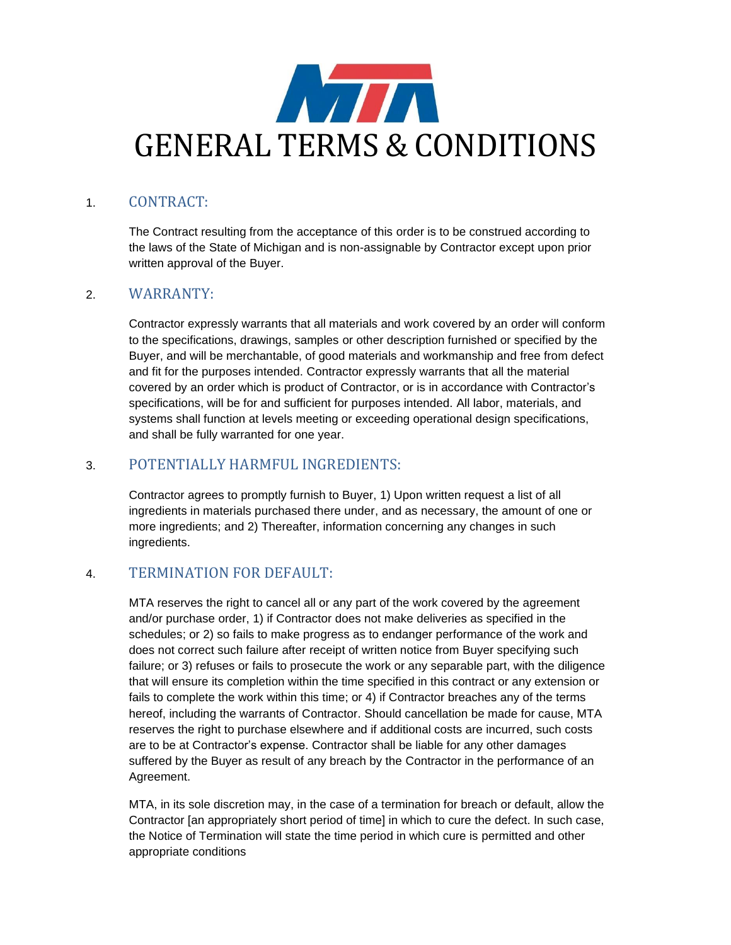

## 1. CONTRACT:

The Contract resulting from the acceptance of this order is to be construed according to the laws of the State of Michigan and is non-assignable by Contractor except upon prior written approval of the Buyer.

### 2. WARRANTY:

Contractor expressly warrants that all materials and work covered by an order will conform to the specifications, drawings, samples or other description furnished or specified by the Buyer, and will be merchantable, of good materials and workmanship and free from defect and fit for the purposes intended. Contractor expressly warrants that all the material covered by an order which is product of Contractor, or is in accordance with Contractor's specifications, will be for and sufficient for purposes intended. All labor, materials, and systems shall function at levels meeting or exceeding operational design specifications, and shall be fully warranted for one year.

## 3. POTENTIALLY HARMFUL INGREDIENTS:

Contractor agrees to promptly furnish to Buyer, 1) Upon written request a list of all ingredients in materials purchased there under, and as necessary, the amount of one or more ingredients; and 2) Thereafter, information concerning any changes in such ingredients.

### 4. TERMINATION FOR DEFAULT:

MTA reserves the right to cancel all or any part of the work covered by the agreement and/or purchase order, 1) if Contractor does not make deliveries as specified in the schedules; or 2) so fails to make progress as to endanger performance of the work and does not correct such failure after receipt of written notice from Buyer specifying such failure; or 3) refuses or fails to prosecute the work or any separable part, with the diligence that will ensure its completion within the time specified in this contract or any extension or fails to complete the work within this time; or 4) if Contractor breaches any of the terms hereof, including the warrants of Contractor. Should cancellation be made for cause, MTA reserves the right to purchase elsewhere and if additional costs are incurred, such costs are to be at Contractor's expense. Contractor shall be liable for any other damages suffered by the Buyer as result of any breach by the Contractor in the performance of an Agreement.

MTA, in its sole discretion may, in the case of a termination for breach or default, allow the Contractor [an appropriately short period of time] in which to cure the defect. In such case, the Notice of Termination will state the time period in which cure is permitted and other appropriate conditions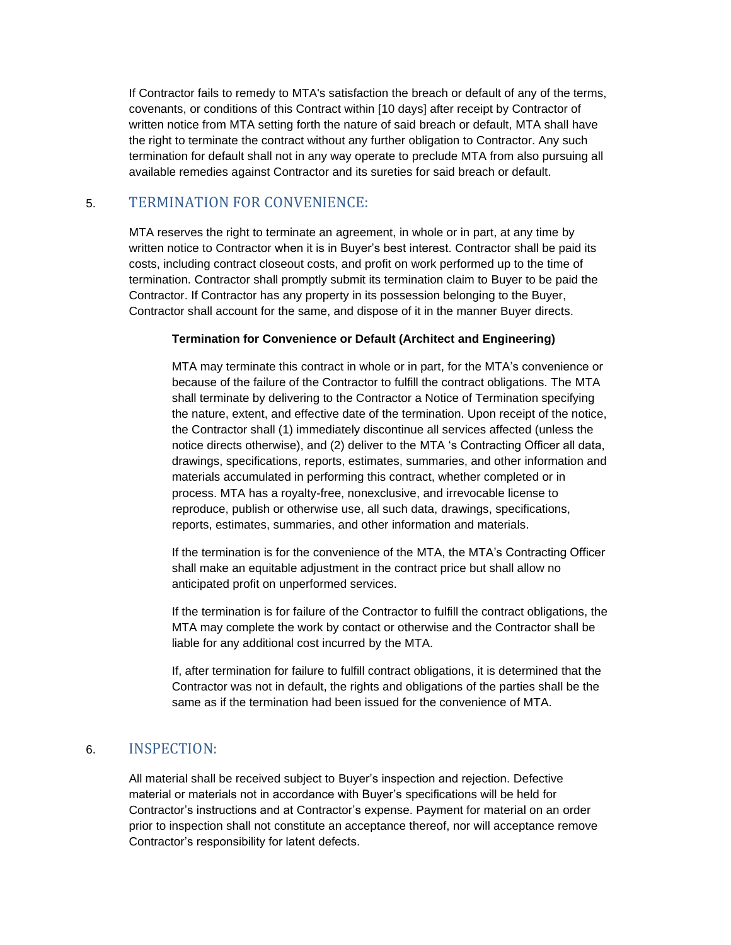If Contractor fails to remedy to MTA's satisfaction the breach or default of any of the terms, covenants, or conditions of this Contract within [10 days] after receipt by Contractor of written notice from MTA setting forth the nature of said breach or default, MTA shall have the right to terminate the contract without any further obligation to Contractor. Any such termination for default shall not in any way operate to preclude MTA from also pursuing all available remedies against Contractor and its sureties for said breach or default.

# 5. TERMINATION FOR CONVENIENCE:

MTA reserves the right to terminate an agreement, in whole or in part, at any time by written notice to Contractor when it is in Buyer's best interest. Contractor shall be paid its costs, including contract closeout costs, and profit on work performed up to the time of termination. Contractor shall promptly submit its termination claim to Buyer to be paid the Contractor. If Contractor has any property in its possession belonging to the Buyer, Contractor shall account for the same, and dispose of it in the manner Buyer directs.

#### **Termination for Convenience or Default (Architect and Engineering)**

MTA may terminate this contract in whole or in part, for the MTA's convenience or because of the failure of the Contractor to fulfill the contract obligations. The MTA shall terminate by delivering to the Contractor a Notice of Termination specifying the nature, extent, and effective date of the termination. Upon receipt of the notice, the Contractor shall (1) immediately discontinue all services affected (unless the notice directs otherwise), and (2) deliver to the MTA 's Contracting Officer all data, drawings, specifications, reports, estimates, summaries, and other information and materials accumulated in performing this contract, whether completed or in process. MTA has a royalty-free, nonexclusive, and irrevocable license to reproduce, publish or otherwise use, all such data, drawings, specifications, reports, estimates, summaries, and other information and materials.

If the termination is for the convenience of the MTA, the MTA's Contracting Officer shall make an equitable adjustment in the contract price but shall allow no anticipated profit on unperformed services.

If the termination is for failure of the Contractor to fulfill the contract obligations, the MTA may complete the work by contact or otherwise and the Contractor shall be liable for any additional cost incurred by the MTA.

If, after termination for failure to fulfill contract obligations, it is determined that the Contractor was not in default, the rights and obligations of the parties shall be the same as if the termination had been issued for the convenience of MTA.

### 6. INSPECTION:

All material shall be received subject to Buyer's inspection and rejection. Defective material or materials not in accordance with Buyer's specifications will be held for Contractor's instructions and at Contractor's expense. Payment for material on an order prior to inspection shall not constitute an acceptance thereof, nor will acceptance remove Contractor's responsibility for latent defects.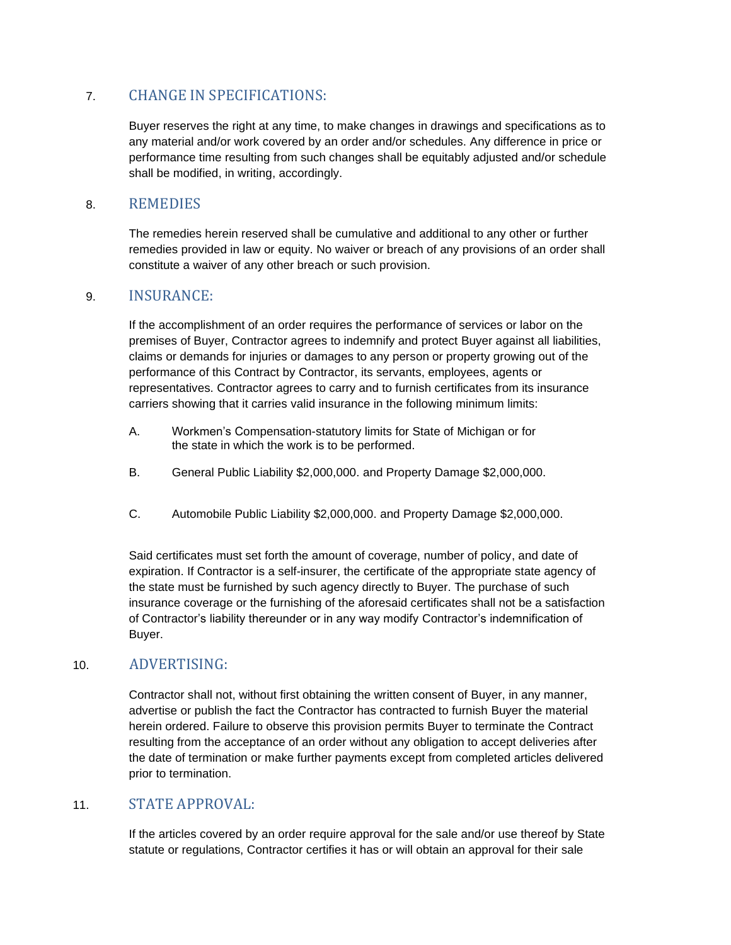# 7. CHANGE IN SPECIFICATIONS:

Buyer reserves the right at any time, to make changes in drawings and specifications as to any material and/or work covered by an order and/or schedules. Any difference in price or performance time resulting from such changes shall be equitably adjusted and/or schedule shall be modified, in writing, accordingly.

### 8. REMEDIES

The remedies herein reserved shall be cumulative and additional to any other or further remedies provided in law or equity. No waiver or breach of any provisions of an order shall constitute a waiver of any other breach or such provision.

### 9. INSURANCE:

If the accomplishment of an order requires the performance of services or labor on the premises of Buyer, Contractor agrees to indemnify and protect Buyer against all liabilities, claims or demands for injuries or damages to any person or property growing out of the performance of this Contract by Contractor, its servants, employees, agents or representatives. Contractor agrees to carry and to furnish certificates from its insurance carriers showing that it carries valid insurance in the following minimum limits:

- A. Workmen's Compensation-statutory limits for State of Michigan or for the state in which the work is to be performed.
- B. General Public Liability \$2,000,000. and Property Damage \$2,000,000.
- C. Automobile Public Liability \$2,000,000. and Property Damage \$2,000,000.

Said certificates must set forth the amount of coverage, number of policy, and date of expiration. If Contractor is a self-insurer, the certificate of the appropriate state agency of the state must be furnished by such agency directly to Buyer. The purchase of such insurance coverage or the furnishing of the aforesaid certificates shall not be a satisfaction of Contractor's liability thereunder or in any way modify Contractor's indemnification of Buyer.

### 10. ADVERTISING:

Contractor shall not, without first obtaining the written consent of Buyer, in any manner, advertise or publish the fact the Contractor has contracted to furnish Buyer the material herein ordered. Failure to observe this provision permits Buyer to terminate the Contract resulting from the acceptance of an order without any obligation to accept deliveries after the date of termination or make further payments except from completed articles delivered prior to termination.

### 11. STATE APPROVAL:

If the articles covered by an order require approval for the sale and/or use thereof by State statute or regulations, Contractor certifies it has or will obtain an approval for their sale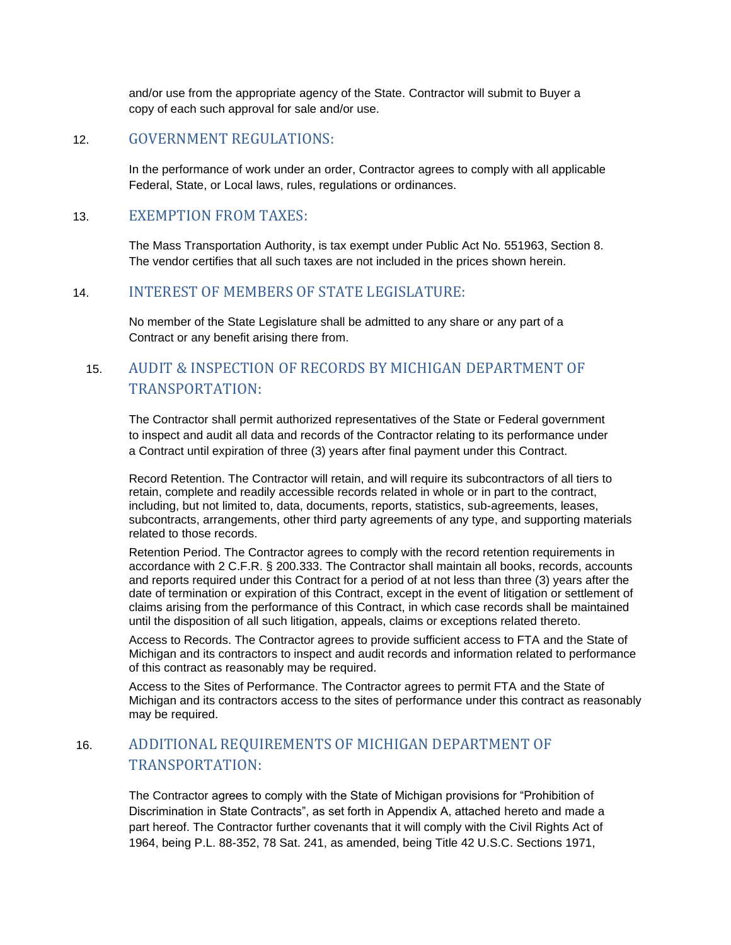and/or use from the appropriate agency of the State. Contractor will submit to Buyer a copy of each such approval for sale and/or use.

### 12. GOVERNMENT REGULATIONS:

In the performance of work under an order, Contractor agrees to comply with all applicable Federal, State, or Local laws, rules, regulations or ordinances.

### 13. EXEMPTION FROM TAXES:

The Mass Transportation Authority, is tax exempt under Public Act No. 551963, Section 8. The vendor certifies that all such taxes are not included in the prices shown herein.

### 14. INTEREST OF MEMBERS OF STATE LEGISLATURE:

No member of the State Legislature shall be admitted to any share or any part of a Contract or any benefit arising there from.

# 15. AUDIT & INSPECTION OF RECORDS BY MICHIGAN DEPARTMENT OF TRANSPORTATION:

The Contractor shall permit authorized representatives of the State or Federal government to inspect and audit all data and records of the Contractor relating to its performance under a Contract until expiration of three (3) years after final payment under this Contract.

Record Retention. The Contractor will retain, and will require its subcontractors of all tiers to retain, complete and readily accessible records related in whole or in part to the contract, including, but not limited to, data, documents, reports, statistics, sub-agreements, leases, subcontracts, arrangements, other third party agreements of any type, and supporting materials related to those records.

Retention Period. The Contractor agrees to comply with the record retention requirements in accordance with 2 C.F.R. § 200.333. The Contractor shall maintain all books, records, accounts and reports required under this Contract for a period of at not less than three (3) years after the date of termination or expiration of this Contract, except in the event of litigation or settlement of claims arising from the performance of this Contract, in which case records shall be maintained until the disposition of all such litigation, appeals, claims or exceptions related thereto.

Access to Records. The Contractor agrees to provide sufficient access to FTA and the State of Michigan and its contractors to inspect and audit records and information related to performance of this contract as reasonably may be required.

Access to the Sites of Performance. The Contractor agrees to permit FTA and the State of Michigan and its contractors access to the sites of performance under this contract as reasonably may be required.

# 16. ADDITIONAL REQUIREMENTS OF MICHIGAN DEPARTMENT OF TRANSPORTATION:

The Contractor agrees to comply with the State of Michigan provisions for "Prohibition of Discrimination in State Contracts", as set forth in Appendix A, attached hereto and made a part hereof. The Contractor further covenants that it will comply with the Civil Rights Act of 1964, being P.L. 88-352, 78 Sat. 241, as amended, being Title 42 U.S.C. Sections 1971,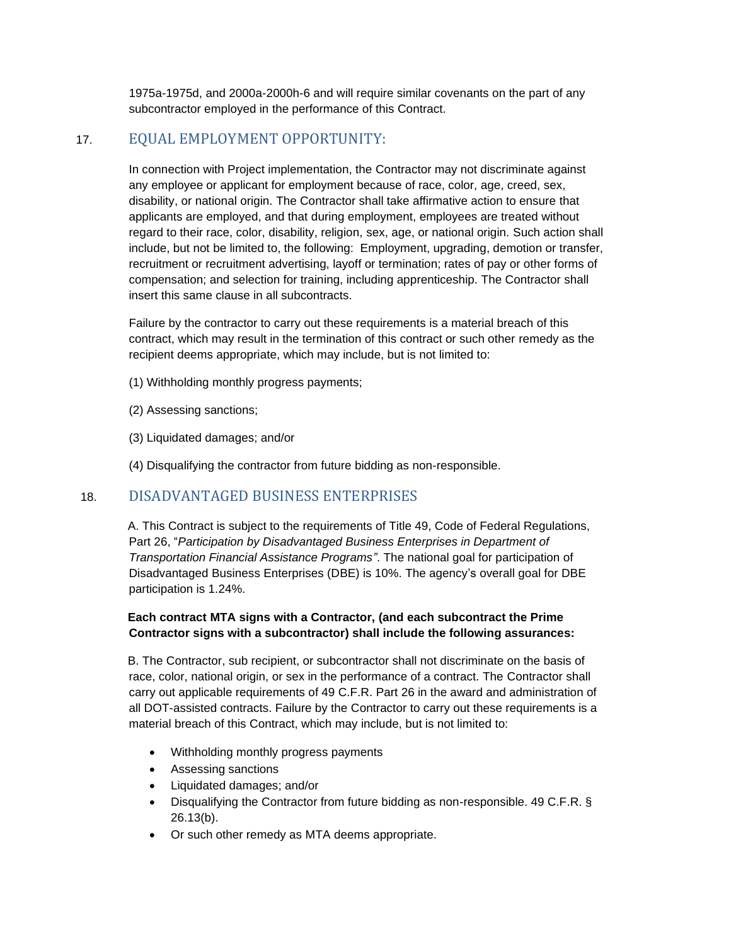1975a-1975d, and 2000a-2000h-6 and will require similar covenants on the part of any subcontractor employed in the performance of this Contract.

## 17. EQUAL EMPLOYMENT OPPORTUNITY:

In connection with Project implementation, the Contractor may not discriminate against any employee or applicant for employment because of race, color, age, creed, sex, disability, or national origin. The Contractor shall take affirmative action to ensure that applicants are employed, and that during employment, employees are treated without regard to their race, color, disability, religion, sex, age, or national origin. Such action shall include, but not be limited to, the following: Employment, upgrading, demotion or transfer, recruitment or recruitment advertising, layoff or termination; rates of pay or other forms of compensation; and selection for training, including apprenticeship. The Contractor shall insert this same clause in all subcontracts.

Failure by the contractor to carry out these requirements is a material breach of this contract, which may result in the termination of this contract or such other remedy as the recipient deems appropriate, which may include, but is not limited to:

- (1) Withholding monthly progress payments;
- (2) Assessing sanctions;
- (3) Liquidated damages; and/or
- (4) Disqualifying the contractor from future bidding as non-responsible.

### 18. DISADVANTAGED BUSINESS ENTERPRISES

A. This Contract is subject to the requirements of Title 49, Code of Federal Regulations, Part 26, "*Participation by Disadvantaged Business Enterprises in Department of Transportation Financial Assistance Programs"*. The national goal for participation of Disadvantaged Business Enterprises (DBE) is 10%. The agency's overall goal for DBE participation is 1.24%.

### **Each contract MTA signs with a Contractor, (and each subcontract the Prime Contractor signs with a subcontractor) shall include the following assurances:**

B. The Contractor, sub recipient, or subcontractor shall not discriminate on the basis of race, color, national origin, or sex in the performance of a contract. The Contractor shall carry out applicable requirements of 49 C.F.R. Part 26 in the award and administration of all DOT-assisted contracts. Failure by the Contractor to carry out these requirements is a material breach of this Contract, which may include, but is not limited to:

- Withholding monthly progress payments
- Assessing sanctions
- Liquidated damages; and/or
- Disqualifying the Contractor from future bidding as non-responsible. 49 C.F.R. § 26.13(b).
- Or such other remedy as MTA deems appropriate.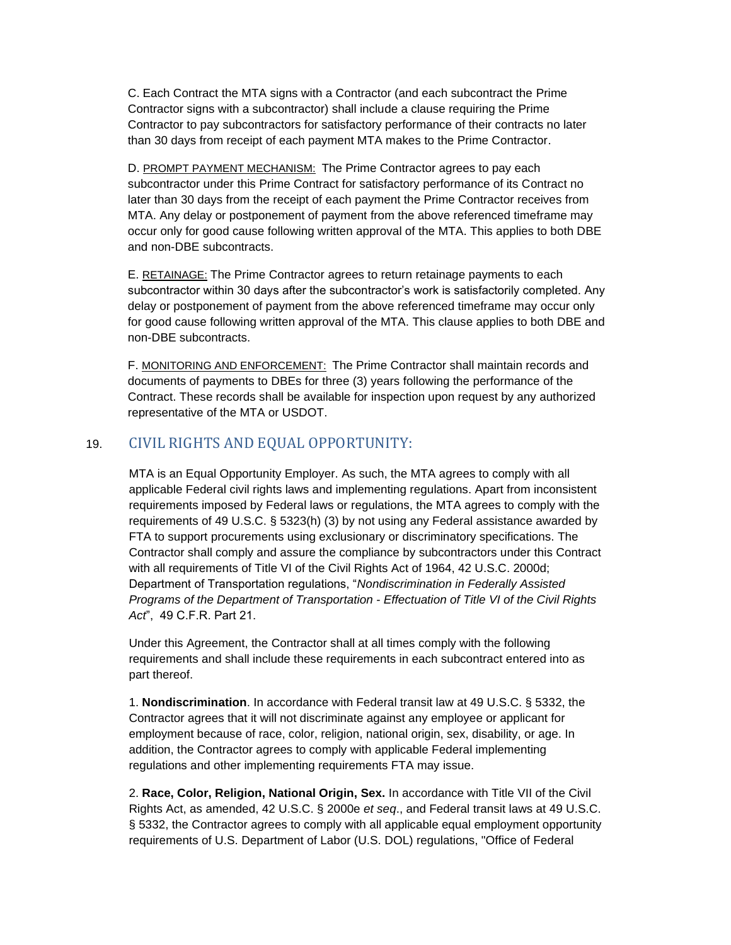C. Each Contract the MTA signs with a Contractor (and each subcontract the Prime Contractor signs with a subcontractor) shall include a clause requiring the Prime Contractor to pay subcontractors for satisfactory performance of their contracts no later than 30 days from receipt of each payment MTA makes to the Prime Contractor.

D. PROMPT PAYMENT MECHANISM: The Prime Contractor agrees to pay each subcontractor under this Prime Contract for satisfactory performance of its Contract no later than 30 days from the receipt of each payment the Prime Contractor receives from MTA. Any delay or postponement of payment from the above referenced timeframe may occur only for good cause following written approval of the MTA. This applies to both DBE and non-DBE subcontracts.

E. RETAINAGE: The Prime Contractor agrees to return retainage payments to each subcontractor within 30 days after the subcontractor's work is satisfactorily completed. Any delay or postponement of payment from the above referenced timeframe may occur only for good cause following written approval of the MTA. This clause applies to both DBE and non-DBE subcontracts.

F. MONITORING AND ENFORCEMENT: The Prime Contractor shall maintain records and documents of payments to DBEs for three (3) years following the performance of the Contract. These records shall be available for inspection upon request by any authorized representative of the MTA or USDOT.

# 19. CIVIL RIGHTS AND EQUAL OPPORTUNITY:

MTA is an Equal Opportunity Employer. As such, the MTA agrees to comply with all applicable Federal civil rights laws and implementing regulations. Apart from inconsistent requirements imposed by Federal laws or regulations, the MTA agrees to comply with the requirements of 49 U.S.C. § 5323(h) (3) by not using any Federal assistance awarded by FTA to support procurements using exclusionary or discriminatory specifications. The Contractor shall comply and assure the compliance by subcontractors under this Contract with all requirements of Title VI of the Civil Rights Act of 1964, 42 U.S.C. 2000d; Department of Transportation regulations, "*Nondiscrimination in Federally Assisted Programs of the Department of Transportation - Effectuation of Title VI of the Civil Rights Act*", 49 C.F.R. Part 21.

Under this Agreement, the Contractor shall at all times comply with the following requirements and shall include these requirements in each subcontract entered into as part thereof.

1. **Nondiscrimination**. In accordance with Federal transit law at 49 U.S.C. § 5332, the Contractor agrees that it will not discriminate against any employee or applicant for employment because of race, color, religion, national origin, sex, disability, or age. In addition, the Contractor agrees to comply with applicable Federal implementing regulations and other implementing requirements FTA may issue.

2. **Race, Color, Religion, National Origin, Sex.** In accordance with Title VII of the Civil Rights Act, as amended, 42 U.S.C. § 2000e *et seq*., and Federal transit laws at 49 U.S.C. § 5332, the Contractor agrees to comply with all applicable equal employment opportunity requirements of U.S. Department of Labor (U.S. DOL) regulations, "Office of Federal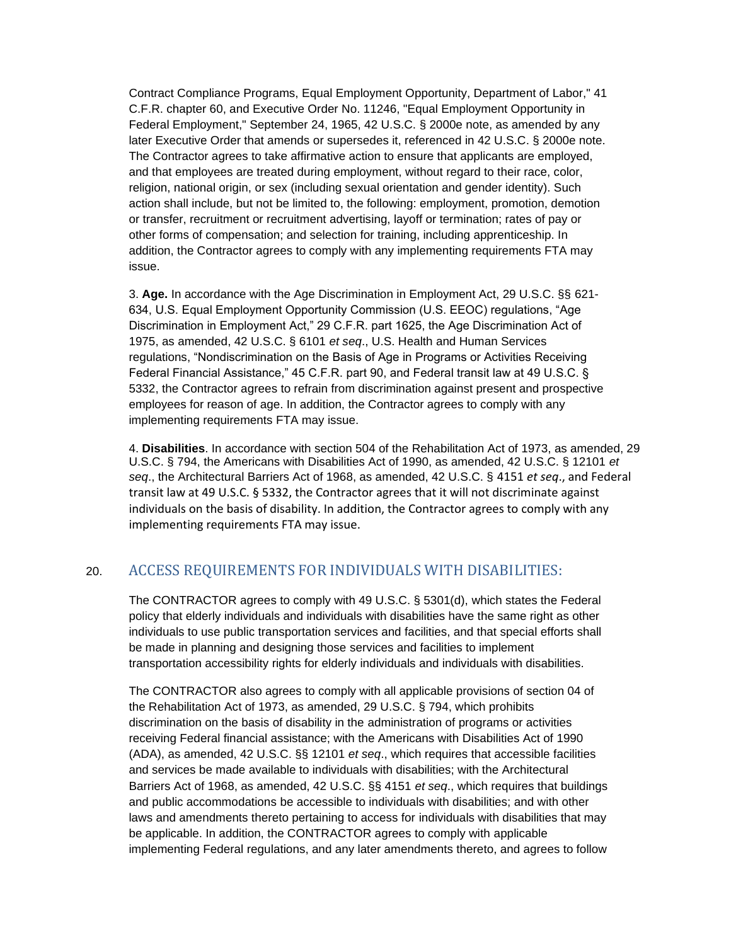Contract Compliance Programs, Equal Employment Opportunity, Department of Labor," 41 C.F.R. chapter 60, and Executive Order No. 11246, "Equal Employment Opportunity in Federal Employment," September 24, 1965, 42 U.S.C. § 2000e note, as amended by any later Executive Order that amends or supersedes it, referenced in 42 U.S.C. § 2000e note. The Contractor agrees to take affirmative action to ensure that applicants are employed, and that employees are treated during employment, without regard to their race, color, religion, national origin, or sex (including sexual orientation and gender identity). Such action shall include, but not be limited to, the following: employment, promotion, demotion or transfer, recruitment or recruitment advertising, layoff or termination; rates of pay or other forms of compensation; and selection for training, including apprenticeship. In addition, the Contractor agrees to comply with any implementing requirements FTA may issue.

3. **Age.** In accordance with the Age Discrimination in Employment Act, 29 U.S.C. §§ 621- 634, U.S. Equal Employment Opportunity Commission (U.S. EEOC) regulations, "Age Discrimination in Employment Act," 29 C.F.R. part 1625, the Age Discrimination Act of 1975, as amended, 42 U.S.C. § 6101 *et seq*., U.S. Health and Human Services regulations, "Nondiscrimination on the Basis of Age in Programs or Activities Receiving Federal Financial Assistance," 45 C.F.R. part 90, and Federal transit law at 49 U.S.C. § 5332, the Contractor agrees to refrain from discrimination against present and prospective employees for reason of age. In addition, the Contractor agrees to comply with any implementing requirements FTA may issue.

4. **Disabilities**. In accordance with section 504 of the Rehabilitation Act of 1973, as amended, 29 U.S.C. § 794, the Americans with Disabilities Act of 1990, as amended, 42 U.S.C. § 12101 *et seq*., the Architectural Barriers Act of 1968, as amended, 42 U.S.C. § 4151 *et seq*., and Federal transit law at 49 U.S.C. § 5332, the Contractor agrees that it will not discriminate against individuals on the basis of disability. In addition, the Contractor agrees to comply with any implementing requirements FTA may issue.

# 20. ACCESS REQUIREMENTS FOR INDIVIDUALS WITH DISABILITIES:

The CONTRACTOR agrees to comply with 49 U.S.C. § 5301(d), which states the Federal policy that elderly individuals and individuals with disabilities have the same right as other individuals to use public transportation services and facilities, and that special efforts shall be made in planning and designing those services and facilities to implement transportation accessibility rights for elderly individuals and individuals with disabilities.

The CONTRACTOR also agrees to comply with all applicable provisions of section 04 of the Rehabilitation Act of 1973, as amended, 29 U.S.C. § 794, which prohibits discrimination on the basis of disability in the administration of programs or activities receiving Federal financial assistance; with the Americans with Disabilities Act of 1990 (ADA), as amended, 42 U.S.C. §§ 12101 *et seq*., which requires that accessible facilities and services be made available to individuals with disabilities; with the Architectural Barriers Act of 1968, as amended, 42 U.S.C. §§ 4151 *et seq*., which requires that buildings and public accommodations be accessible to individuals with disabilities; and with other laws and amendments thereto pertaining to access for individuals with disabilities that may be applicable. In addition, the CONTRACTOR agrees to comply with applicable implementing Federal regulations, and any later amendments thereto, and agrees to follow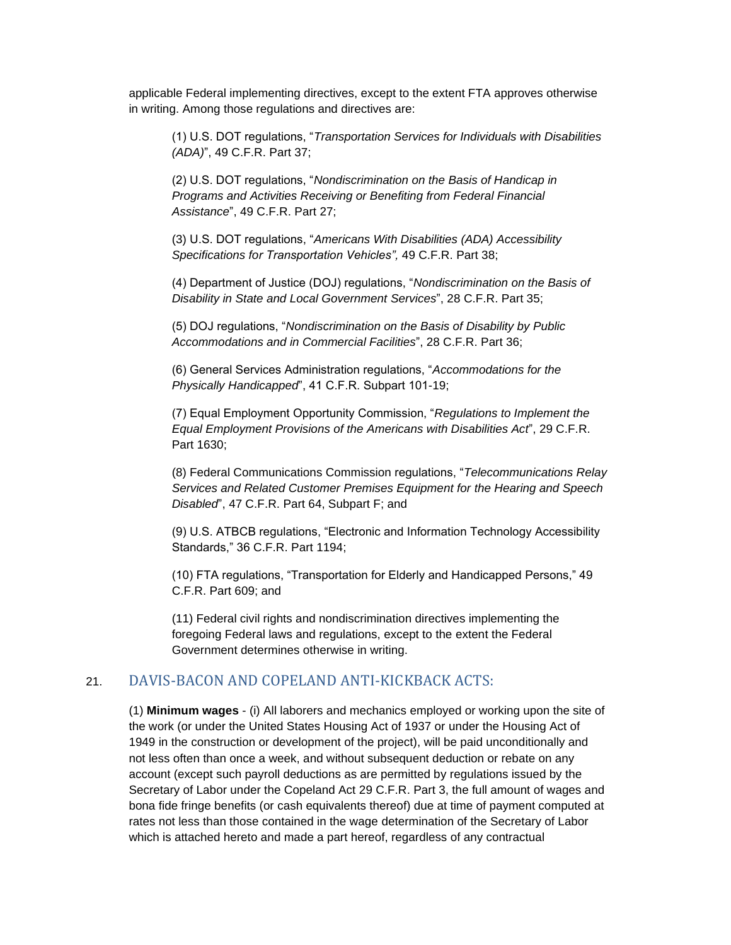applicable Federal implementing directives, except to the extent FTA approves otherwise in writing. Among those regulations and directives are:

(1) U.S. DOT regulations, "*Transportation Services for Individuals with Disabilities (ADA)*", 49 C.F.R. Part 37;

(2) U.S. DOT regulations, "*Nondiscrimination on the Basis of Handicap in Programs and Activities Receiving or Benefiting from Federal Financial Assistance*", 49 C.F.R. Part 27;

(3) U.S. DOT regulations, "*Americans With Disabilities (ADA) Accessibility Specifications for Transportation Vehicles",* 49 C.F.R. Part 38;

(4) Department of Justice (DOJ) regulations, "*Nondiscrimination on the Basis of Disability in State and Local Government Services*", 28 C.F.R. Part 35;

(5) DOJ regulations, "*Nondiscrimination on the Basis of Disability by Public Accommodations and in Commercial Facilities*", 28 C.F.R. Part 36;

(6) General Services Administration regulations, "*Accommodations for the Physically Handicapped*", 41 C.F.R. Subpart 101-19;

(7) Equal Employment Opportunity Commission, "*Regulations to Implement the Equal Employment Provisions of the Americans with Disabilities Act*", 29 C.F.R. Part 1630;

(8) Federal Communications Commission regulations, "*Telecommunications Relay Services and Related Customer Premises Equipment for the Hearing and Speech Disabled*", 47 C.F.R. Part 64, Subpart F; and

(9) U.S. ATBCB regulations, "Electronic and Information Technology Accessibility Standards," 36 C.F.R. Part 1194;

(10) FTA regulations, "Transportation for Elderly and Handicapped Persons," 49 C.F.R. Part 609; and

(11) Federal civil rights and nondiscrimination directives implementing the foregoing Federal laws and regulations, except to the extent the Federal Government determines otherwise in writing.

### 21. DAVIS-BACON AND COPELAND ANTI-KICKBACK ACTS:

(1) **Minimum wages** - (i) All laborers and mechanics employed or working upon the site of the work (or under the United States Housing Act of 1937 or under the Housing Act of 1949 in the construction or development of the project), will be paid unconditionally and not less often than once a week, and without subsequent deduction or rebate on any account (except such payroll deductions as are permitted by regulations issued by the Secretary of Labor under the Copeland Act 29 C.F.R. Part 3, the full amount of wages and bona fide fringe benefits (or cash equivalents thereof) due at time of payment computed at rates not less than those contained in the wage determination of the Secretary of Labor which is attached hereto and made a part hereof, regardless of any contractual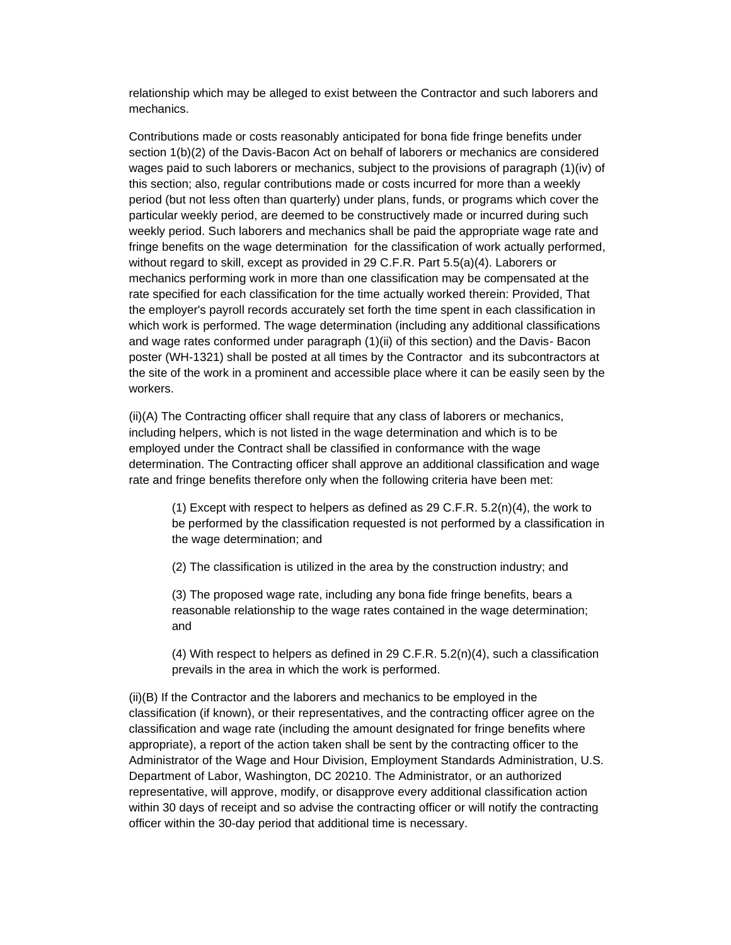relationship which may be alleged to exist between the Contractor and such laborers and mechanics.

Contributions made or costs reasonably anticipated for bona fide fringe benefits under section 1(b)(2) of the Davis-Bacon Act on behalf of laborers or mechanics are considered wages paid to such laborers or mechanics, subject to the provisions of paragraph (1)(iv) of this section; also, regular contributions made or costs incurred for more than a weekly period (but not less often than quarterly) under plans, funds, or programs which cover the particular weekly period, are deemed to be constructively made or incurred during such weekly period. Such laborers and mechanics shall be paid the appropriate wage rate and fringe benefits on the wage determination for the classification of work actually performed, without regard to skill, except as provided in 29 C.F.R. Part 5.5(a)(4). Laborers or mechanics performing work in more than one classification may be compensated at the rate specified for each classification for the time actually worked therein: Provided, That the employer's payroll records accurately set forth the time spent in each classification in which work is performed. The wage determination (including any additional classifications and wage rates conformed under paragraph (1)(ii) of this section) and the Davis- Bacon poster (WH-1321) shall be posted at all times by the Contractor and its subcontractors at the site of the work in a prominent and accessible place where it can be easily seen by the workers.

(ii)(A) The Contracting officer shall require that any class of laborers or mechanics, including helpers, which is not listed in the wage determination and which is to be employed under the Contract shall be classified in conformance with the wage determination. The Contracting officer shall approve an additional classification and wage rate and fringe benefits therefore only when the following criteria have been met:

(1) Except with respect to helpers as defined as  $29$  C.F.R.  $5.2(n)(4)$ , the work to be performed by the classification requested is not performed by a classification in the wage determination; and

(2) The classification is utilized in the area by the construction industry; and

(3) The proposed wage rate, including any bona fide fringe benefits, bears a reasonable relationship to the wage rates contained in the wage determination; and

(4) With respect to helpers as defined in 29 C.F.R.  $5.2(n)(4)$ , such a classification prevails in the area in which the work is performed.

(ii)(B) If the Contractor and the laborers and mechanics to be employed in the classification (if known), or their representatives, and the contracting officer agree on the classification and wage rate (including the amount designated for fringe benefits where appropriate), a report of the action taken shall be sent by the contracting officer to the Administrator of the Wage and Hour Division, Employment Standards Administration, U.S. Department of Labor, Washington, DC 20210. The Administrator, or an authorized representative, will approve, modify, or disapprove every additional classification action within 30 days of receipt and so advise the contracting officer or will notify the contracting officer within the 30-day period that additional time is necessary.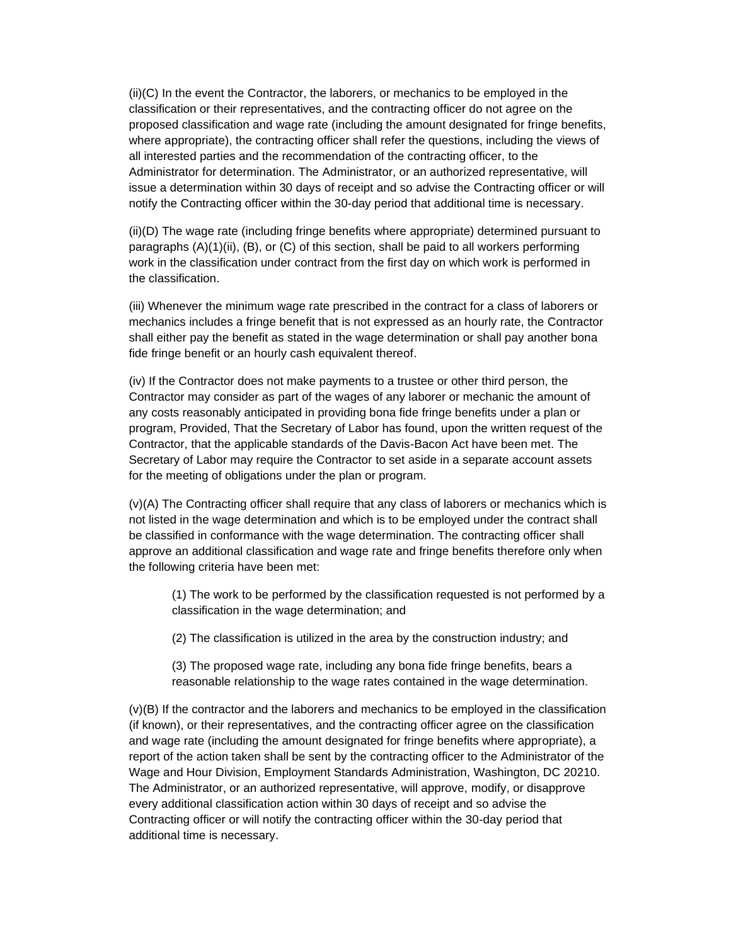(ii)(C) In the event the Contractor, the laborers, or mechanics to be employed in the classification or their representatives, and the contracting officer do not agree on the proposed classification and wage rate (including the amount designated for fringe benefits, where appropriate), the contracting officer shall refer the questions, including the views of all interested parties and the recommendation of the contracting officer, to the Administrator for determination. The Administrator, or an authorized representative, will issue a determination within 30 days of receipt and so advise the Contracting officer or will notify the Contracting officer within the 30-day period that additional time is necessary.

(ii)(D) The wage rate (including fringe benefits where appropriate) determined pursuant to paragraphs (A)(1)(ii), (B), or (C) of this section, shall be paid to all workers performing work in the classification under contract from the first day on which work is performed in the classification.

(iii) Whenever the minimum wage rate prescribed in the contract for a class of laborers or mechanics includes a fringe benefit that is not expressed as an hourly rate, the Contractor shall either pay the benefit as stated in the wage determination or shall pay another bona fide fringe benefit or an hourly cash equivalent thereof.

(iv) If the Contractor does not make payments to a trustee or other third person, the Contractor may consider as part of the wages of any laborer or mechanic the amount of any costs reasonably anticipated in providing bona fide fringe benefits under a plan or program, Provided, That the Secretary of Labor has found, upon the written request of the Contractor, that the applicable standards of the Davis-Bacon Act have been met. The Secretary of Labor may require the Contractor to set aside in a separate account assets for the meeting of obligations under the plan or program.

(v)(A) The Contracting officer shall require that any class of laborers or mechanics which is not listed in the wage determination and which is to be employed under the contract shall be classified in conformance with the wage determination. The contracting officer shall approve an additional classification and wage rate and fringe benefits therefore only when the following criteria have been met:

(1) The work to be performed by the classification requested is not performed by a classification in the wage determination; and

(2) The classification is utilized in the area by the construction industry; and

(3) The proposed wage rate, including any bona fide fringe benefits, bears a reasonable relationship to the wage rates contained in the wage determination.

(v)(B) If the contractor and the laborers and mechanics to be employed in the classification (if known), or their representatives, and the contracting officer agree on the classification and wage rate (including the amount designated for fringe benefits where appropriate), a report of the action taken shall be sent by the contracting officer to the Administrator of the Wage and Hour Division, Employment Standards Administration, Washington, DC 20210. The Administrator, or an authorized representative, will approve, modify, or disapprove every additional classification action within 30 days of receipt and so advise the Contracting officer or will notify the contracting officer within the 30-day period that additional time is necessary.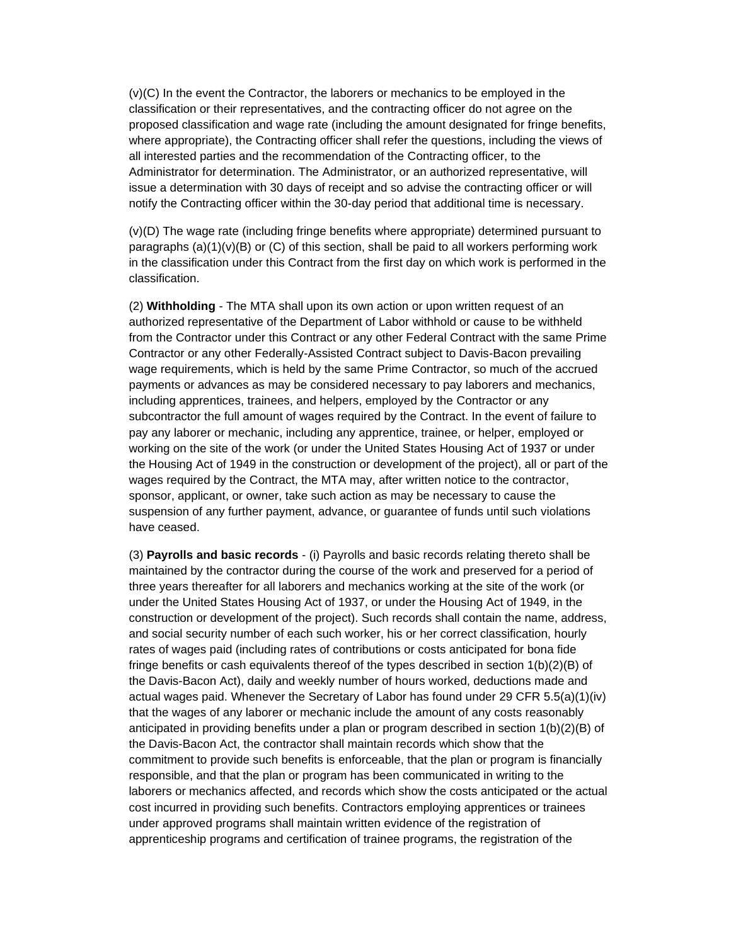(v)(C) In the event the Contractor, the laborers or mechanics to be employed in the classification or their representatives, and the contracting officer do not agree on the proposed classification and wage rate (including the amount designated for fringe benefits, where appropriate), the Contracting officer shall refer the questions, including the views of all interested parties and the recommendation of the Contracting officer, to the Administrator for determination. The Administrator, or an authorized representative, will issue a determination with 30 days of receipt and so advise the contracting officer or will notify the Contracting officer within the 30-day period that additional time is necessary.

(v)(D) The wage rate (including fringe benefits where appropriate) determined pursuant to paragraphs  $(a)(1)(v)(B)$  or  $(C)$  of this section, shall be paid to all workers performing work in the classification under this Contract from the first day on which work is performed in the classification.

(2) **Withholding** - The MTA shall upon its own action or upon written request of an authorized representative of the Department of Labor withhold or cause to be withheld from the Contractor under this Contract or any other Federal Contract with the same Prime Contractor or any other Federally-Assisted Contract subject to Davis-Bacon prevailing wage requirements, which is held by the same Prime Contractor, so much of the accrued payments or advances as may be considered necessary to pay laborers and mechanics, including apprentices, trainees, and helpers, employed by the Contractor or any subcontractor the full amount of wages required by the Contract. In the event of failure to pay any laborer or mechanic, including any apprentice, trainee, or helper, employed or working on the site of the work (or under the United States Housing Act of 1937 or under the Housing Act of 1949 in the construction or development of the project), all or part of the wages required by the Contract, the MTA may, after written notice to the contractor, sponsor, applicant, or owner, take such action as may be necessary to cause the suspension of any further payment, advance, or guarantee of funds until such violations have ceased.

(3) **Payrolls and basic records** - (i) Payrolls and basic records relating thereto shall be maintained by the contractor during the course of the work and preserved for a period of three years thereafter for all laborers and mechanics working at the site of the work (or under the United States Housing Act of 1937, or under the Housing Act of 1949, in the construction or development of the project). Such records shall contain the name, address, and social security number of each such worker, his or her correct classification, hourly rates of wages paid (including rates of contributions or costs anticipated for bona fide fringe benefits or cash equivalents thereof of the types described in section 1(b)(2)(B) of the Davis-Bacon Act), daily and weekly number of hours worked, deductions made and actual wages paid. Whenever the Secretary of Labor has found under 29 CFR 5.5(a)(1)(iv) that the wages of any laborer or mechanic include the amount of any costs reasonably anticipated in providing benefits under a plan or program described in section 1(b)(2)(B) of the Davis-Bacon Act, the contractor shall maintain records which show that the commitment to provide such benefits is enforceable, that the plan or program is financially responsible, and that the plan or program has been communicated in writing to the laborers or mechanics affected, and records which show the costs anticipated or the actual cost incurred in providing such benefits. Contractors employing apprentices or trainees under approved programs shall maintain written evidence of the registration of apprenticeship programs and certification of trainee programs, the registration of the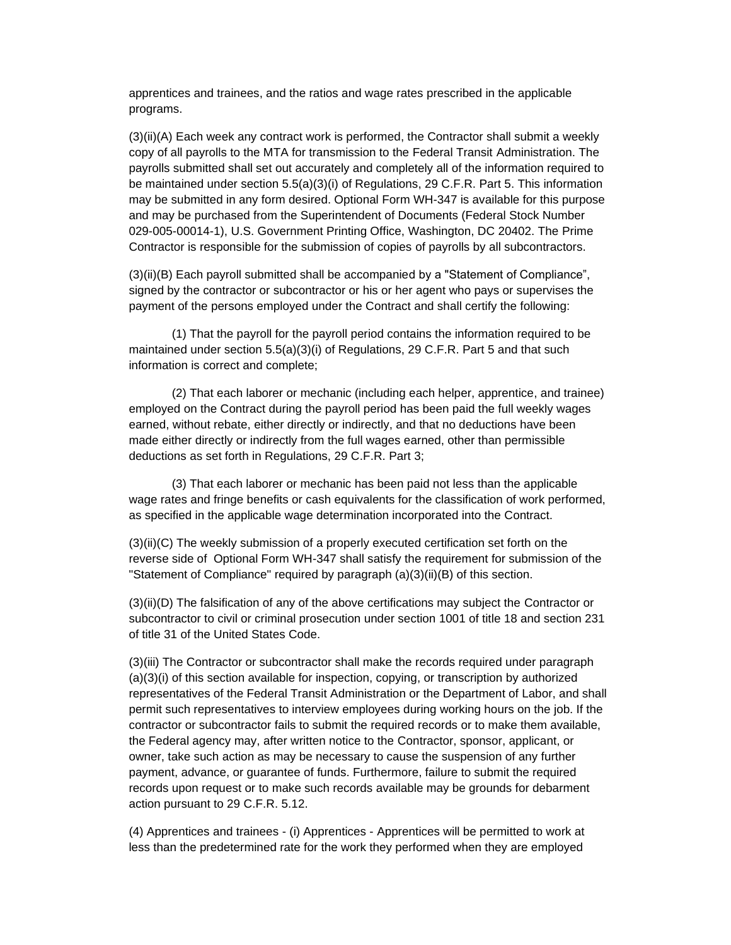apprentices and trainees, and the ratios and wage rates prescribed in the applicable programs.

(3)(ii)(A) Each week any contract work is performed, the Contractor shall submit a weekly copy of all payrolls to the MTA for transmission to the Federal Transit Administration. The payrolls submitted shall set out accurately and completely all of the information required to be maintained under section 5.5(a)(3)(i) of Regulations, 29 C.F.R. Part 5. This information may be submitted in any form desired. Optional Form WH-347 is available for this purpose and may be purchased from the Superintendent of Documents (Federal Stock Number 029-005-00014-1), U.S. Government Printing Office, Washington, DC 20402. The Prime Contractor is responsible for the submission of copies of payrolls by all subcontractors.

(3)(ii)(B) Each payroll submitted shall be accompanied by a "Statement of Compliance", signed by the contractor or subcontractor or his or her agent who pays or supervises the payment of the persons employed under the Contract and shall certify the following:

(1) That the payroll for the payroll period contains the information required to be maintained under section 5.5(a)(3)(i) of Regulations, 29 C.F.R. Part 5 and that such information is correct and complete;

(2) That each laborer or mechanic (including each helper, apprentice, and trainee) employed on the Contract during the payroll period has been paid the full weekly wages earned, without rebate, either directly or indirectly, and that no deductions have been made either directly or indirectly from the full wages earned, other than permissible deductions as set forth in Regulations, 29 C.F.R. Part 3;

(3) That each laborer or mechanic has been paid not less than the applicable wage rates and fringe benefits or cash equivalents for the classification of work performed, as specified in the applicable wage determination incorporated into the Contract.

(3)(ii)(C) The weekly submission of a properly executed certification set forth on the reverse side of Optional Form WH-347 shall satisfy the requirement for submission of the "Statement of Compliance" required by paragraph (a)(3)(ii)(B) of this section.

(3)(ii)(D) The falsification of any of the above certifications may subject the Contractor or subcontractor to civil or criminal prosecution under section 1001 of title 18 and section 231 of title 31 of the United States Code.

(3)(iii) The Contractor or subcontractor shall make the records required under paragraph (a)(3)(i) of this section available for inspection, copying, or transcription by authorized representatives of the Federal Transit Administration or the Department of Labor, and shall permit such representatives to interview employees during working hours on the job. If the contractor or subcontractor fails to submit the required records or to make them available, the Federal agency may, after written notice to the Contractor, sponsor, applicant, or owner, take such action as may be necessary to cause the suspension of any further payment, advance, or guarantee of funds. Furthermore, failure to submit the required records upon request or to make such records available may be grounds for debarment action pursuant to 29 C.F.R. 5.12.

(4) Apprentices and trainees - (i) Apprentices - Apprentices will be permitted to work at less than the predetermined rate for the work they performed when they are employed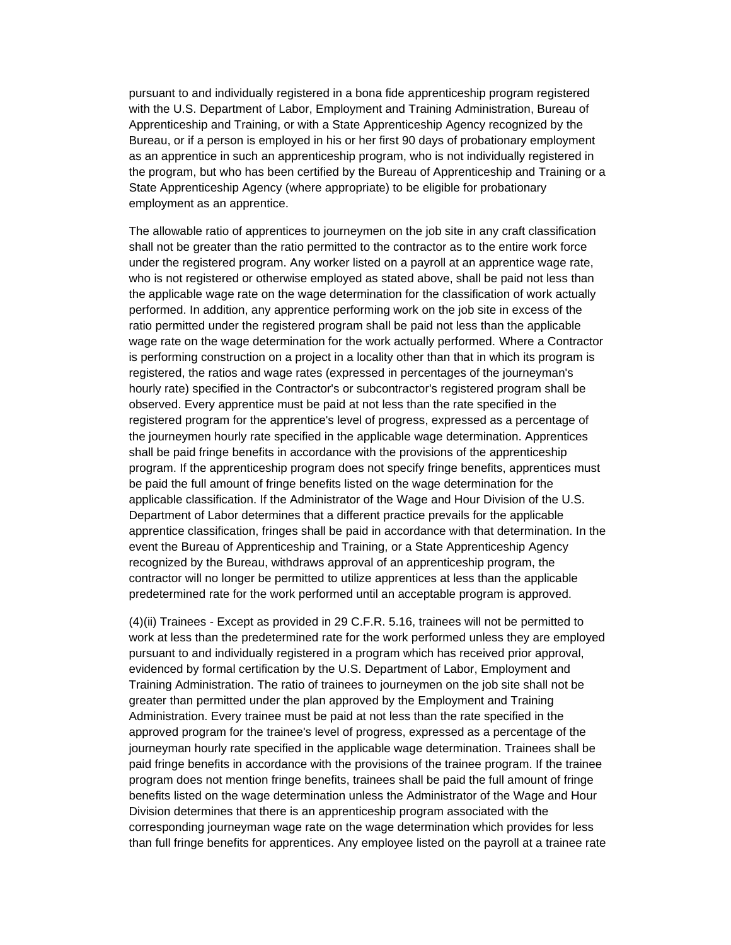pursuant to and individually registered in a bona fide apprenticeship program registered with the U.S. Department of Labor, Employment and Training Administration, Bureau of Apprenticeship and Training, or with a State Apprenticeship Agency recognized by the Bureau, or if a person is employed in his or her first 90 days of probationary employment as an apprentice in such an apprenticeship program, who is not individually registered in the program, but who has been certified by the Bureau of Apprenticeship and Training or a State Apprenticeship Agency (where appropriate) to be eligible for probationary employment as an apprentice.

The allowable ratio of apprentices to journeymen on the job site in any craft classification shall not be greater than the ratio permitted to the contractor as to the entire work force under the registered program. Any worker listed on a payroll at an apprentice wage rate, who is not registered or otherwise employed as stated above, shall be paid not less than the applicable wage rate on the wage determination for the classification of work actually performed. In addition, any apprentice performing work on the job site in excess of the ratio permitted under the registered program shall be paid not less than the applicable wage rate on the wage determination for the work actually performed. Where a Contractor is performing construction on a project in a locality other than that in which its program is registered, the ratios and wage rates (expressed in percentages of the journeyman's hourly rate) specified in the Contractor's or subcontractor's registered program shall be observed. Every apprentice must be paid at not less than the rate specified in the registered program for the apprentice's level of progress, expressed as a percentage of the journeymen hourly rate specified in the applicable wage determination. Apprentices shall be paid fringe benefits in accordance with the provisions of the apprenticeship program. If the apprenticeship program does not specify fringe benefits, apprentices must be paid the full amount of fringe benefits listed on the wage determination for the applicable classification. If the Administrator of the Wage and Hour Division of the U.S. Department of Labor determines that a different practice prevails for the applicable apprentice classification, fringes shall be paid in accordance with that determination. In the event the Bureau of Apprenticeship and Training, or a State Apprenticeship Agency recognized by the Bureau, withdraws approval of an apprenticeship program, the contractor will no longer be permitted to utilize apprentices at less than the applicable predetermined rate for the work performed until an acceptable program is approved.

(4)(ii) Trainees - Except as provided in 29 C.F.R. 5.16, trainees will not be permitted to work at less than the predetermined rate for the work performed unless they are employed pursuant to and individually registered in a program which has received prior approval, evidenced by formal certification by the U.S. Department of Labor, Employment and Training Administration. The ratio of trainees to journeymen on the job site shall not be greater than permitted under the plan approved by the Employment and Training Administration. Every trainee must be paid at not less than the rate specified in the approved program for the trainee's level of progress, expressed as a percentage of the journeyman hourly rate specified in the applicable wage determination. Trainees shall be paid fringe benefits in accordance with the provisions of the trainee program. If the trainee program does not mention fringe benefits, trainees shall be paid the full amount of fringe benefits listed on the wage determination unless the Administrator of the Wage and Hour Division determines that there is an apprenticeship program associated with the corresponding journeyman wage rate on the wage determination which provides for less than full fringe benefits for apprentices. Any employee listed on the payroll at a trainee rate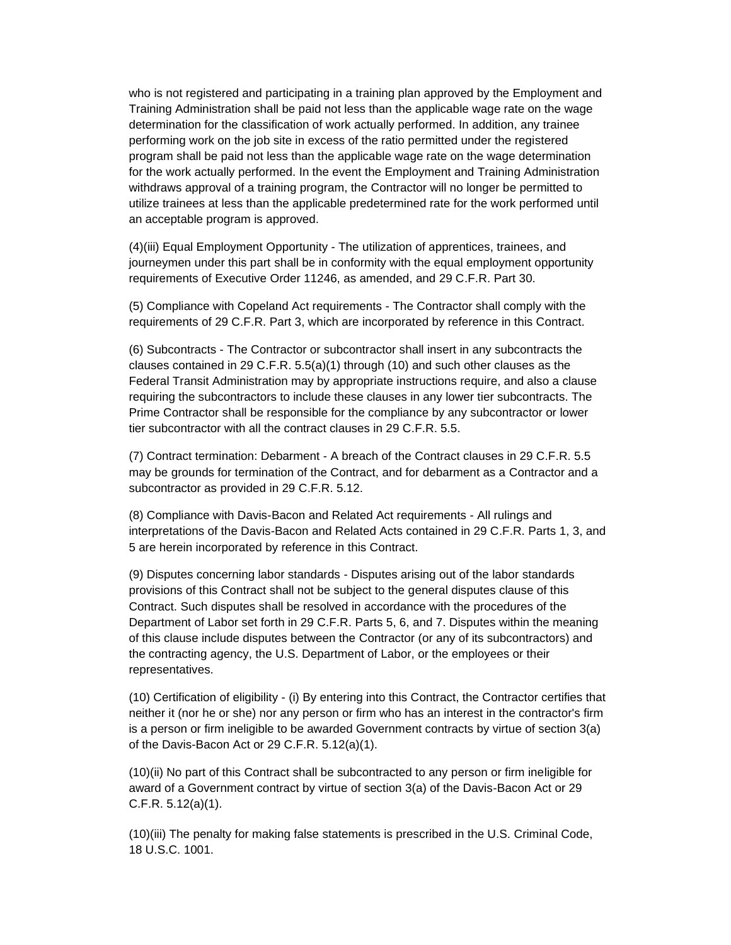who is not registered and participating in a training plan approved by the Employment and Training Administration shall be paid not less than the applicable wage rate on the wage determination for the classification of work actually performed. In addition, any trainee performing work on the job site in excess of the ratio permitted under the registered program shall be paid not less than the applicable wage rate on the wage determination for the work actually performed. In the event the Employment and Training Administration withdraws approval of a training program, the Contractor will no longer be permitted to utilize trainees at less than the applicable predetermined rate for the work performed until an acceptable program is approved.

(4)(iii) Equal Employment Opportunity - The utilization of apprentices, trainees, and journeymen under this part shall be in conformity with the equal employment opportunity requirements of Executive Order 11246, as amended, and 29 C.F.R. Part 30.

(5) Compliance with Copeland Act requirements - The Contractor shall comply with the requirements of 29 C.F.R. Part 3, which are incorporated by reference in this Contract.

(6) Subcontracts - The Contractor or subcontractor shall insert in any subcontracts the clauses contained in 29 C.F.R.  $5.5(a)(1)$  through (10) and such other clauses as the Federal Transit Administration may by appropriate instructions require, and also a clause requiring the subcontractors to include these clauses in any lower tier subcontracts. The Prime Contractor shall be responsible for the compliance by any subcontractor or lower tier subcontractor with all the contract clauses in 29 C.F.R. 5.5.

(7) Contract termination: Debarment - A breach of the Contract clauses in 29 C.F.R. 5.5 may be grounds for termination of the Contract, and for debarment as a Contractor and a subcontractor as provided in 29 C.F.R. 5.12.

(8) Compliance with Davis-Bacon and Related Act requirements - All rulings and interpretations of the Davis-Bacon and Related Acts contained in 29 C.F.R. Parts 1, 3, and 5 are herein incorporated by reference in this Contract.

(9) Disputes concerning labor standards - Disputes arising out of the labor standards provisions of this Contract shall not be subject to the general disputes clause of this Contract. Such disputes shall be resolved in accordance with the procedures of the Department of Labor set forth in 29 C.F.R. Parts 5, 6, and 7. Disputes within the meaning of this clause include disputes between the Contractor (or any of its subcontractors) and the contracting agency, the U.S. Department of Labor, or the employees or their representatives.

(10) Certification of eligibility - (i) By entering into this Contract, the Contractor certifies that neither it (nor he or she) nor any person or firm who has an interest in the contractor's firm is a person or firm ineligible to be awarded Government contracts by virtue of section 3(a) of the Davis-Bacon Act or 29 C.F.R. 5.12(a)(1).

(10)(ii) No part of this Contract shall be subcontracted to any person or firm ineligible for award of a Government contract by virtue of section 3(a) of the Davis-Bacon Act or 29 C.F.R. 5.12(a)(1).

(10)(iii) The penalty for making false statements is prescribed in the U.S. Criminal Code, 18 U.S.C. 1001.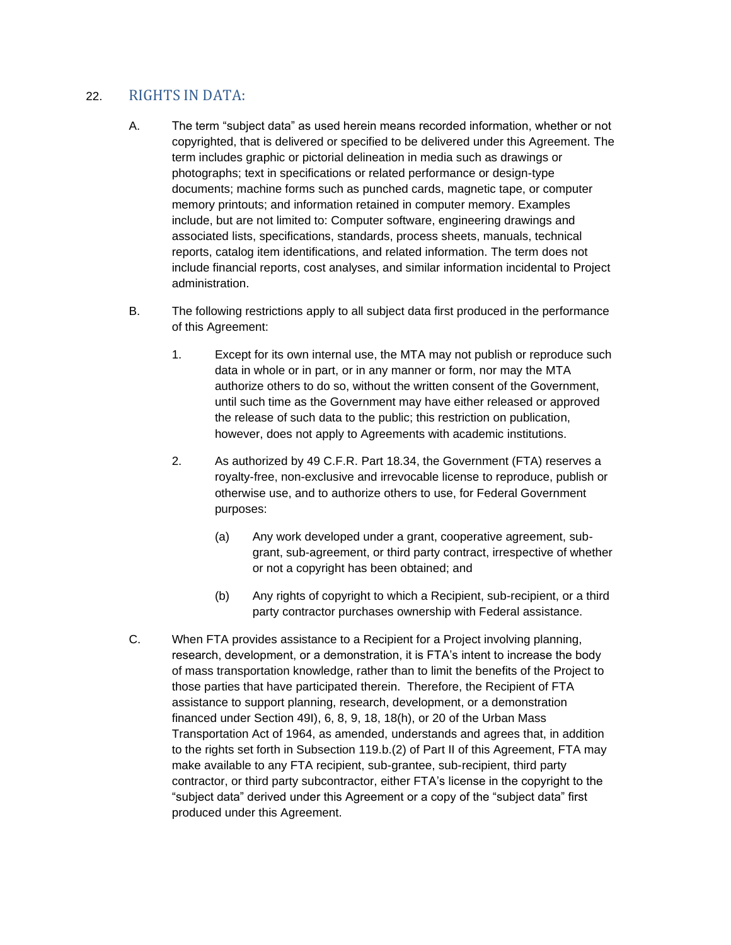## 22. RIGHTS IN DATA:

- A. The term "subject data" as used herein means recorded information, whether or not copyrighted, that is delivered or specified to be delivered under this Agreement. The term includes graphic or pictorial delineation in media such as drawings or photographs; text in specifications or related performance or design-type documents; machine forms such as punched cards, magnetic tape, or computer memory printouts; and information retained in computer memory. Examples include, but are not limited to: Computer software, engineering drawings and associated lists, specifications, standards, process sheets, manuals, technical reports, catalog item identifications, and related information. The term does not include financial reports, cost analyses, and similar information incidental to Project administration.
- B. The following restrictions apply to all subject data first produced in the performance of this Agreement:
	- 1. Except for its own internal use, the MTA may not publish or reproduce such data in whole or in part, or in any manner or form, nor may the MTA authorize others to do so, without the written consent of the Government, until such time as the Government may have either released or approved the release of such data to the public; this restriction on publication, however, does not apply to Agreements with academic institutions.
	- 2. As authorized by 49 C.F.R. Part 18.34, the Government (FTA) reserves a royalty-free, non-exclusive and irrevocable license to reproduce, publish or otherwise use, and to authorize others to use, for Federal Government purposes:
		- (a) Any work developed under a grant, cooperative agreement, subgrant, sub-agreement, or third party contract, irrespective of whether or not a copyright has been obtained; and
		- (b) Any rights of copyright to which a Recipient, sub-recipient, or a third party contractor purchases ownership with Federal assistance.
- C. When FTA provides assistance to a Recipient for a Project involving planning, research, development, or a demonstration, it is FTA's intent to increase the body of mass transportation knowledge, rather than to limit the benefits of the Project to those parties that have participated therein. Therefore, the Recipient of FTA assistance to support planning, research, development, or a demonstration financed under Section 49I), 6, 8, 9, 18, 18(h), or 20 of the Urban Mass Transportation Act of 1964, as amended, understands and agrees that, in addition to the rights set forth in Subsection 119.b.(2) of Part II of this Agreement, FTA may make available to any FTA recipient, sub-grantee, sub-recipient, third party contractor, or third party subcontractor, either FTA's license in the copyright to the "subject data" derived under this Agreement or a copy of the "subject data" first produced under this Agreement.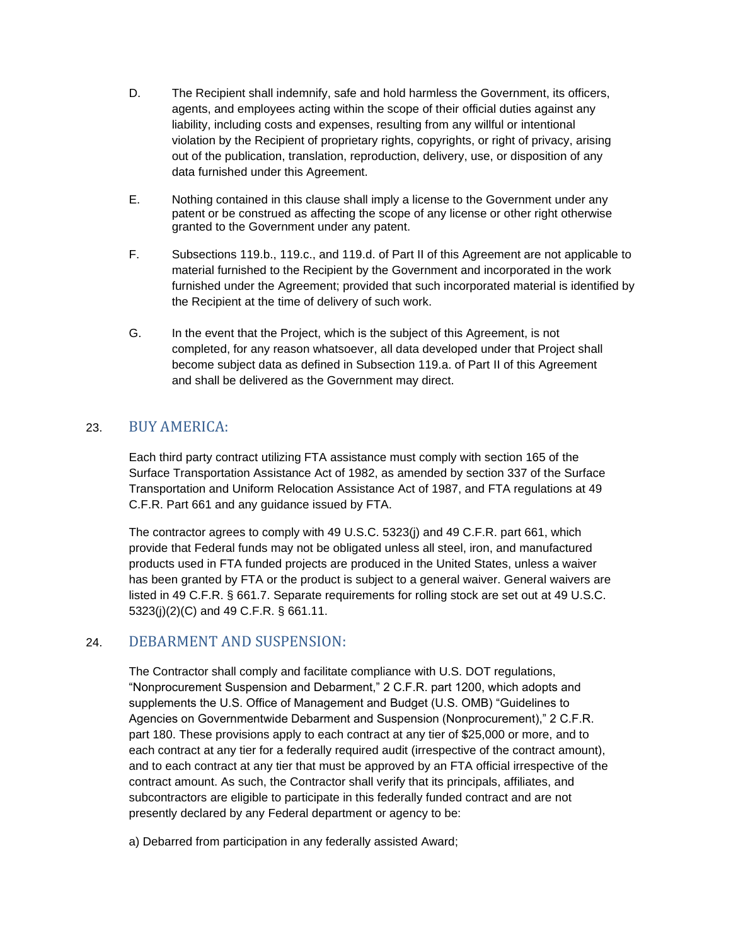- D. The Recipient shall indemnify, safe and hold harmless the Government, its officers, agents, and employees acting within the scope of their official duties against any liability, including costs and expenses, resulting from any willful or intentional violation by the Recipient of proprietary rights, copyrights, or right of privacy, arising out of the publication, translation, reproduction, delivery, use, or disposition of any data furnished under this Agreement.
- E. Nothing contained in this clause shall imply a license to the Government under any patent or be construed as affecting the scope of any license or other right otherwise granted to the Government under any patent.
- F. Subsections 119.b., 119.c., and 119.d. of Part II of this Agreement are not applicable to material furnished to the Recipient by the Government and incorporated in the work furnished under the Agreement; provided that such incorporated material is identified by the Recipient at the time of delivery of such work.
- G. In the event that the Project, which is the subject of this Agreement, is not completed, for any reason whatsoever, all data developed under that Project shall become subject data as defined in Subsection 119.a. of Part II of this Agreement and shall be delivered as the Government may direct.

# 23. BUY AMERICA:

Each third party contract utilizing FTA assistance must comply with section 165 of the Surface Transportation Assistance Act of 1982, as amended by section 337 of the Surface Transportation and Uniform Relocation Assistance Act of 1987, and FTA regulations at 49 C.F.R. Part 661 and any guidance issued by FTA.

The contractor agrees to comply with 49 U.S.C. 5323(j) and 49 C.F.R. part 661, which provide that Federal funds may not be obligated unless all steel, iron, and manufactured products used in FTA funded projects are produced in the United States, unless a waiver has been granted by FTA or the product is subject to a general waiver. General waivers are listed in 49 C.F.R. § 661.7. Separate requirements for rolling stock are set out at 49 U.S.C. 5323(j)(2)(C) and 49 C.F.R. § 661.11.

# 24. DEBARMENT AND SUSPENSION:

The Contractor shall comply and facilitate compliance with U.S. DOT regulations, "Nonprocurement Suspension and Debarment," 2 C.F.R. part 1200, which adopts and supplements the U.S. Office of Management and Budget (U.S. OMB) "Guidelines to Agencies on Governmentwide Debarment and Suspension (Nonprocurement)," 2 C.F.R. part 180. These provisions apply to each contract at any tier of \$25,000 or more, and to each contract at any tier for a federally required audit (irrespective of the contract amount), and to each contract at any tier that must be approved by an FTA official irrespective of the contract amount. As such, the Contractor shall verify that its principals, affiliates, and subcontractors are eligible to participate in this federally funded contract and are not presently declared by any Federal department or agency to be:

a) Debarred from participation in any federally assisted Award;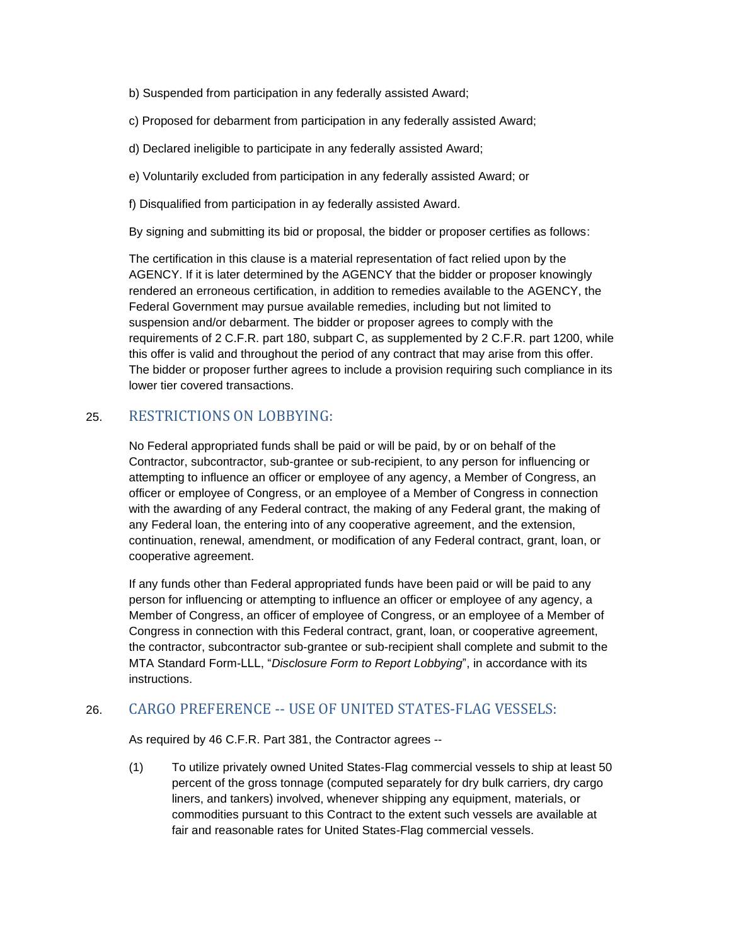- b) Suspended from participation in any federally assisted Award;
- c) Proposed for debarment from participation in any federally assisted Award;
- d) Declared ineligible to participate in any federally assisted Award;
- e) Voluntarily excluded from participation in any federally assisted Award; or
- f) Disqualified from participation in ay federally assisted Award.

By signing and submitting its bid or proposal, the bidder or proposer certifies as follows:

The certification in this clause is a material representation of fact relied upon by the AGENCY. If it is later determined by the AGENCY that the bidder or proposer knowingly rendered an erroneous certification, in addition to remedies available to the AGENCY, the Federal Government may pursue available remedies, including but not limited to suspension and/or debarment. The bidder or proposer agrees to comply with the requirements of 2 C.F.R. part 180, subpart C, as supplemented by 2 C.F.R. part 1200, while this offer is valid and throughout the period of any contract that may arise from this offer. The bidder or proposer further agrees to include a provision requiring such compliance in its lower tier covered transactions.

### 25. RESTRICTIONS ON LOBBYING:

No Federal appropriated funds shall be paid or will be paid, by or on behalf of the Contractor, subcontractor, sub-grantee or sub-recipient, to any person for influencing or attempting to influence an officer or employee of any agency, a Member of Congress, an officer or employee of Congress, or an employee of a Member of Congress in connection with the awarding of any Federal contract, the making of any Federal grant, the making of any Federal loan, the entering into of any cooperative agreement, and the extension, continuation, renewal, amendment, or modification of any Federal contract, grant, loan, or cooperative agreement.

If any funds other than Federal appropriated funds have been paid or will be paid to any person for influencing or attempting to influence an officer or employee of any agency, a Member of Congress, an officer of employee of Congress, or an employee of a Member of Congress in connection with this Federal contract, grant, loan, or cooperative agreement, the contractor, subcontractor sub-grantee or sub-recipient shall complete and submit to the MTA Standard Form-LLL, "*Disclosure Form to Report Lobbying*", in accordance with its instructions.

### 26. CARGO PREFERENCE -- USE OF UNITED STATES-FLAG VESSELS:

As required by 46 C.F.R. Part 381, the Contractor agrees --

(1) To utilize privately owned United States-Flag commercial vessels to ship at least 50 percent of the gross tonnage (computed separately for dry bulk carriers, dry cargo liners, and tankers) involved, whenever shipping any equipment, materials, or commodities pursuant to this Contract to the extent such vessels are available at fair and reasonable rates for United States-Flag commercial vessels.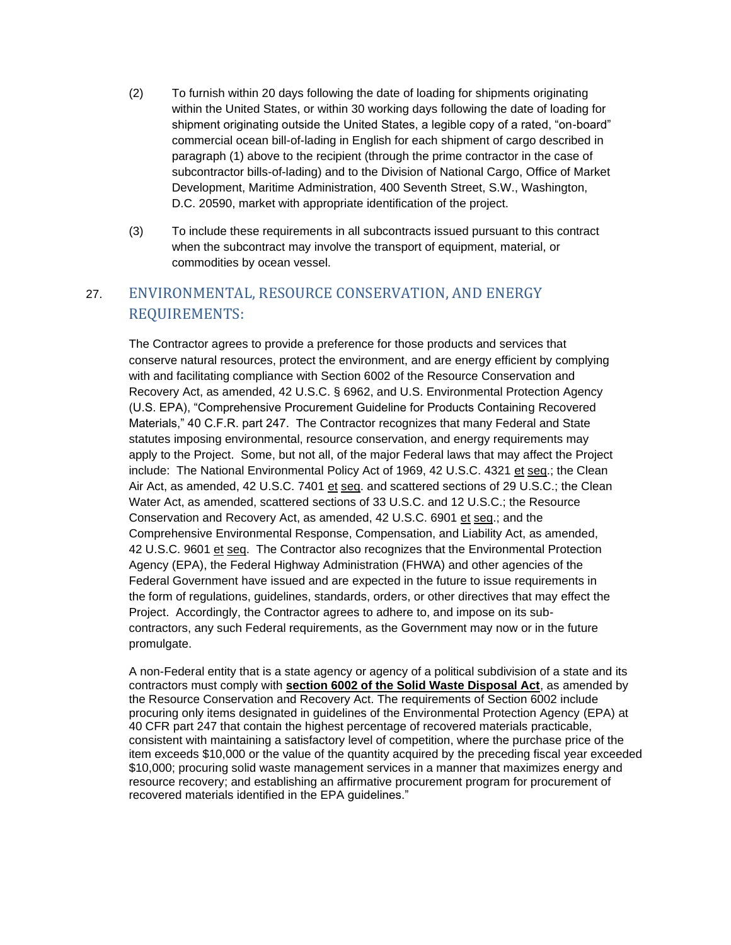- (2) To furnish within 20 days following the date of loading for shipments originating within the United States, or within 30 working days following the date of loading for shipment originating outside the United States, a legible copy of a rated, "on-board" commercial ocean bill-of-lading in English for each shipment of cargo described in paragraph (1) above to the recipient (through the prime contractor in the case of subcontractor bills-of-lading) and to the Division of National Cargo, Office of Market Development, Maritime Administration, 400 Seventh Street, S.W., Washington, D.C. 20590, market with appropriate identification of the project.
- (3) To include these requirements in all subcontracts issued pursuant to this contract when the subcontract may involve the transport of equipment, material, or commodities by ocean vessel.

# 27. ENVIRONMENTAL, RESOURCE CONSERVATION, AND ENERGY REQUIREMENTS:

The Contractor agrees to provide a preference for those products and services that conserve natural resources, protect the environment, and are energy efficient by complying with and facilitating compliance with Section 6002 of the Resource Conservation and Recovery Act, as amended, 42 U.S.C. § 6962, and U.S. Environmental Protection Agency (U.S. EPA), "Comprehensive Procurement Guideline for Products Containing Recovered Materials," 40 C.F.R. part 247. The Contractor recognizes that many Federal and State statutes imposing environmental, resource conservation, and energy requirements may apply to the Project. Some, but not all, of the major Federal laws that may affect the Project include: The National Environmental Policy Act of 1969, 42 U.S.C. 4321 et seq.; the Clean Air Act, as amended, 42 U.S.C. 7401 et seq. and scattered sections of 29 U.S.C.; the Clean Water Act, as amended, scattered sections of 33 U.S.C. and 12 U.S.C.; the Resource Conservation and Recovery Act, as amended, 42 U.S.C. 6901 et seq.; and the Comprehensive Environmental Response, Compensation, and Liability Act, as amended, 42 U.S.C. 9601 et seq. The Contractor also recognizes that the Environmental Protection Agency (EPA), the Federal Highway Administration (FHWA) and other agencies of the Federal Government have issued and are expected in the future to issue requirements in the form of regulations, guidelines, standards, orders, or other directives that may effect the Project. Accordingly, the Contractor agrees to adhere to, and impose on its subcontractors, any such Federal requirements, as the Government may now or in the future promulgate.

A non-Federal entity that is a state agency or agency of a political subdivision of a state and its contractors must comply with **section 6002 of the Solid Waste Disposal Act**, as amended by the Resource Conservation and Recovery Act. The requirements of Section 6002 include procuring only items designated in guidelines of the Environmental Protection Agency (EPA) at 40 CFR part 247 that contain the highest percentage of recovered materials practicable, consistent with maintaining a satisfactory level of competition, where the purchase price of the item exceeds \$10,000 or the value of the quantity acquired by the preceding fiscal year exceeded \$10,000; procuring solid waste management services in a manner that maximizes energy and resource recovery; and establishing an affirmative procurement program for procurement of recovered materials identified in the EPA guidelines."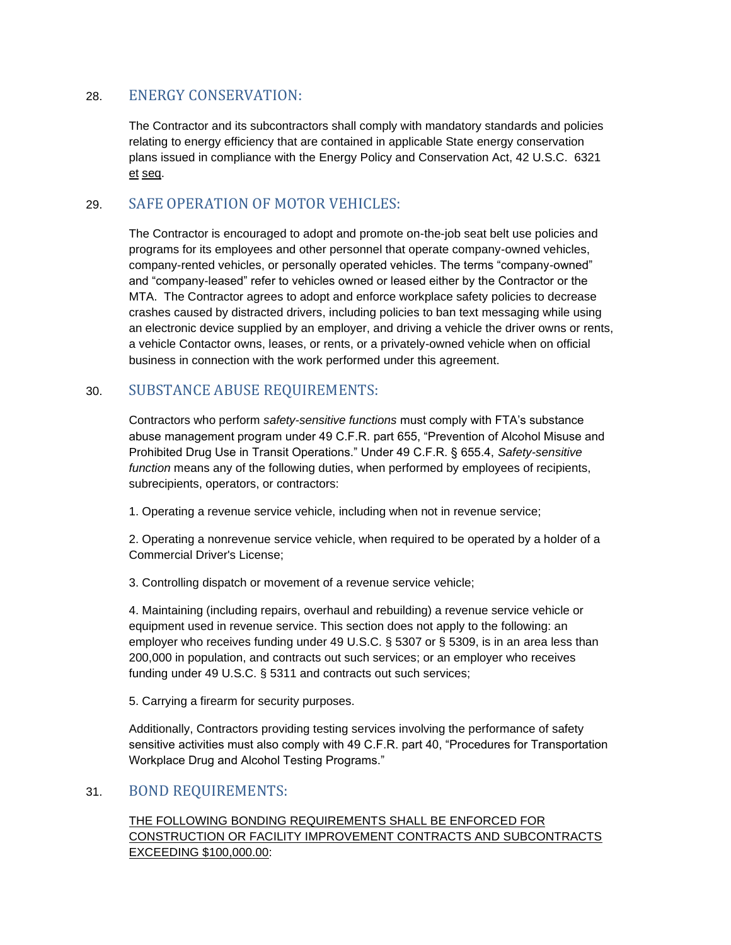### 28. ENERGY CONSERVATION:

The Contractor and its subcontractors shall comply with mandatory standards and policies relating to energy efficiency that are contained in applicable State energy conservation plans issued in compliance with the Energy Policy and Conservation Act, 42 U.S.C. 6321 et seq.

## 29. SAFE OPERATION OF MOTOR VEHICLES:

The Contractor is encouraged to adopt and promote on-the-job seat belt use policies and programs for its employees and other personnel that operate company-owned vehicles, company-rented vehicles, or personally operated vehicles. The terms "company-owned" and "company-leased" refer to vehicles owned or leased either by the Contractor or the MTA. The Contractor agrees to adopt and enforce workplace safety policies to decrease crashes caused by distracted drivers, including policies to ban text messaging while using an electronic device supplied by an employer, and driving a vehicle the driver owns or rents, a vehicle Contactor owns, leases, or rents, or a privately-owned vehicle when on official business in connection with the work performed under this agreement.

### 30. SUBSTANCE ABUSE REQUIREMENTS:

Contractors who perform *safety-sensitive functions* must comply with FTA's substance abuse management program under 49 C.F.R. part 655, "Prevention of Alcohol Misuse and Prohibited Drug Use in Transit Operations." Under 49 C.F.R. § 655.4, *Safety-sensitive function* means any of the following duties, when performed by employees of recipients, subrecipients, operators, or contractors:

1. Operating a revenue service vehicle, including when not in revenue service;

2. Operating a nonrevenue service vehicle, when required to be operated by a holder of a Commercial Driver's License;

3. Controlling dispatch or movement of a revenue service vehicle;

4. Maintaining (including repairs, overhaul and rebuilding) a revenue service vehicle or equipment used in revenue service. This section does not apply to the following: an employer who receives funding under 49 U.S.C. § 5307 or § 5309, is in an area less than 200,000 in population, and contracts out such services; or an employer who receives funding under 49 U.S.C. § 5311 and contracts out such services;

5. Carrying a firearm for security purposes.

Additionally, Contractors providing testing services involving the performance of safety sensitive activities must also comply with 49 C.F.R. part 40, "Procedures for Transportation Workplace Drug and Alcohol Testing Programs."

### 31. BOND REQUIREMENTS:

THE FOLLOWING BONDING REQUIREMENTS SHALL BE ENFORCED FOR CONSTRUCTION OR FACILITY IMPROVEMENT CONTRACTS AND SUBCONTRACTS EXCEEDING \$100,000.00: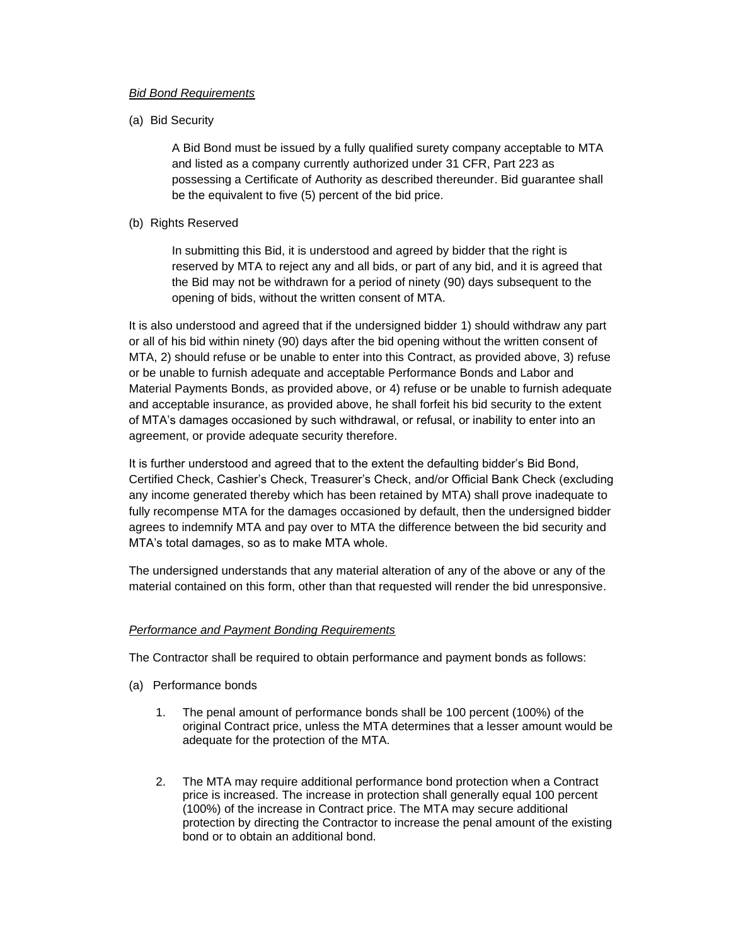#### *Bid Bond Requirements*

(a) Bid Security

A Bid Bond must be issued by a fully qualified surety company acceptable to MTA and listed as a company currently authorized under 31 CFR, Part 223 as possessing a Certificate of Authority as described thereunder. Bid guarantee shall be the equivalent to five (5) percent of the bid price.

(b) Rights Reserved

In submitting this Bid, it is understood and agreed by bidder that the right is reserved by MTA to reject any and all bids, or part of any bid, and it is agreed that the Bid may not be withdrawn for a period of ninety (90) days subsequent to the opening of bids, without the written consent of MTA.

It is also understood and agreed that if the undersigned bidder 1) should withdraw any part or all of his bid within ninety (90) days after the bid opening without the written consent of MTA, 2) should refuse or be unable to enter into this Contract, as provided above, 3) refuse or be unable to furnish adequate and acceptable Performance Bonds and Labor and Material Payments Bonds, as provided above, or 4) refuse or be unable to furnish adequate and acceptable insurance, as provided above, he shall forfeit his bid security to the extent of MTA's damages occasioned by such withdrawal, or refusal, or inability to enter into an agreement, or provide adequate security therefore.

It is further understood and agreed that to the extent the defaulting bidder's Bid Bond, Certified Check, Cashier's Check, Treasurer's Check, and/or Official Bank Check (excluding any income generated thereby which has been retained by MTA) shall prove inadequate to fully recompense MTA for the damages occasioned by default, then the undersigned bidder agrees to indemnify MTA and pay over to MTA the difference between the bid security and MTA's total damages, so as to make MTA whole.

The undersigned understands that any material alteration of any of the above or any of the material contained on this form, other than that requested will render the bid unresponsive.

### *Performance and Payment Bonding Requirements*

The Contractor shall be required to obtain performance and payment bonds as follows:

- (a) Performance bonds
	- 1. The penal amount of performance bonds shall be 100 percent (100%) of the original Contract price, unless the MTA determines that a lesser amount would be adequate for the protection of the MTA.
	- 2. The MTA may require additional performance bond protection when a Contract price is increased. The increase in protection shall generally equal 100 percent (100%) of the increase in Contract price. The MTA may secure additional protection by directing the Contractor to increase the penal amount of the existing bond or to obtain an additional bond.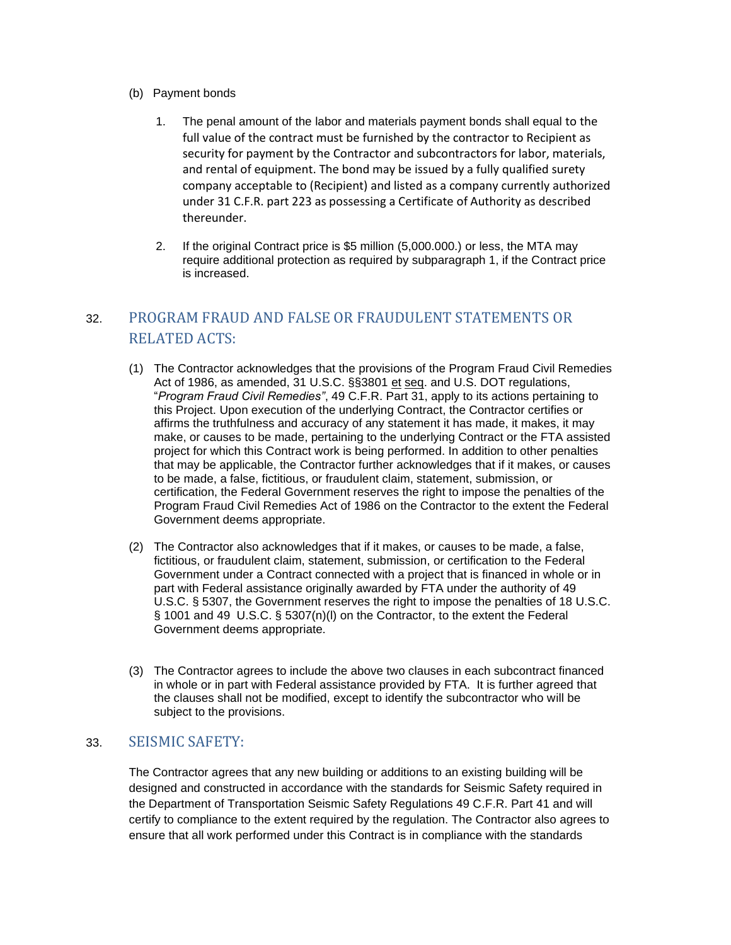- (b) Payment bonds
	- 1. The penal amount of the labor and materials payment bonds shall equal to the full value of the contract must be furnished by the contractor to Recipient as security for payment by the Contractor and subcontractors for labor, materials, and rental of equipment. The bond may be issued by a fully qualified surety company acceptable to (Recipient) and listed as a company currently authorized under 31 C.F.R. part 223 as possessing a Certificate of Authority as described thereunder.
	- 2. If the original Contract price is \$5 million (5,000.000.) or less, the MTA may require additional protection as required by subparagraph 1, if the Contract price is increased.

# 32. PROGRAM FRAUD AND FALSE OR FRAUDULENT STATEMENTS OR RELATED ACTS:

- (1) The Contractor acknowledges that the provisions of the Program Fraud Civil Remedies Act of 1986, as amended, 31 U.S.C. §§3801 et seq. and U.S. DOT regulations, "*Program Fraud Civil Remedies"*, 49 C.F.R. Part 31, apply to its actions pertaining to this Project. Upon execution of the underlying Contract, the Contractor certifies or affirms the truthfulness and accuracy of any statement it has made, it makes, it may make, or causes to be made, pertaining to the underlying Contract or the FTA assisted project for which this Contract work is being performed. In addition to other penalties that may be applicable, the Contractor further acknowledges that if it makes, or causes to be made, a false, fictitious, or fraudulent claim, statement, submission, or certification, the Federal Government reserves the right to impose the penalties of the Program Fraud Civil Remedies Act of 1986 on the Contractor to the extent the Federal Government deems appropriate.
- (2) The Contractor also acknowledges that if it makes, or causes to be made, a false, fictitious, or fraudulent claim, statement, submission, or certification to the Federal Government under a Contract connected with a project that is financed in whole or in part with Federal assistance originally awarded by FTA under the authority of 49 U.S.C. § 5307, the Government reserves the right to impose the penalties of 18 U.S.C. § 1001 and 49 U.S.C. § 5307(n)(l) on the Contractor, to the extent the Federal Government deems appropriate.
- (3) The Contractor agrees to include the above two clauses in each subcontract financed in whole or in part with Federal assistance provided by FTA. It is further agreed that the clauses shall not be modified, except to identify the subcontractor who will be subject to the provisions.

### 33. SEISMIC SAFETY:

The Contractor agrees that any new building or additions to an existing building will be designed and constructed in accordance with the standards for Seismic Safety required in the Department of Transportation Seismic Safety Regulations 49 C.F.R. Part 41 and will certify to compliance to the extent required by the regulation. The Contractor also agrees to ensure that all work performed under this Contract is in compliance with the standards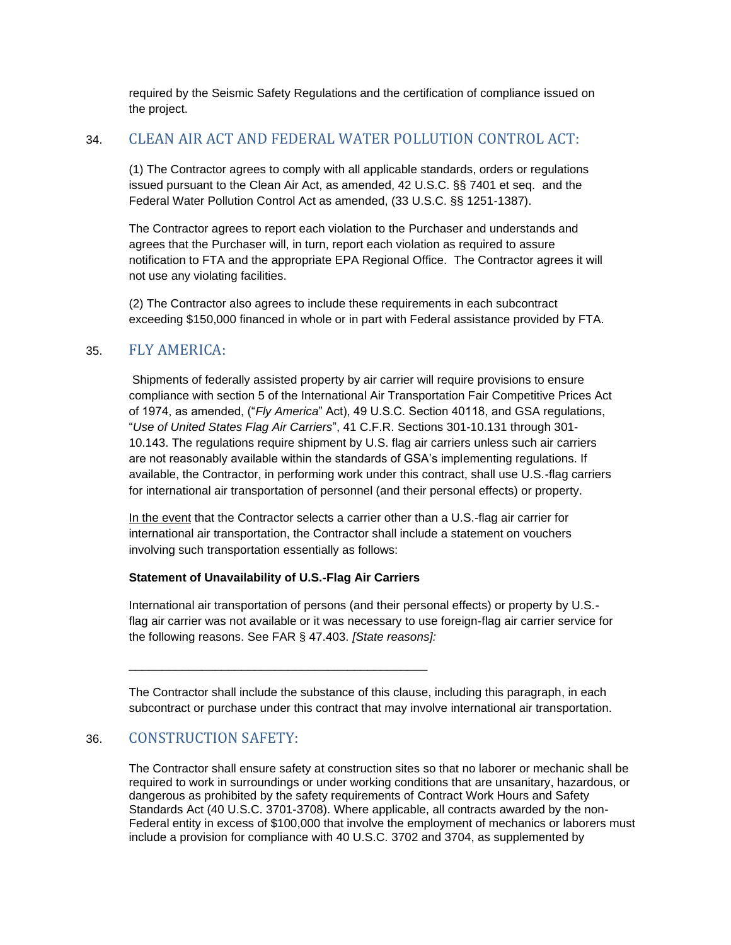required by the Seismic Safety Regulations and the certification of compliance issued on the project.

## 34. CLEAN AIR ACT AND FEDERAL WATER POLLUTION CONTROL ACT:

(1) The Contractor agrees to comply with all applicable standards, orders or regulations issued pursuant to the Clean Air Act, as amended, 42 U.S.C. §§ 7401 et seq. and the Federal Water Pollution Control Act as amended, (33 U.S.C. §§ 1251-1387).

The Contractor agrees to report each violation to the Purchaser and understands and agrees that the Purchaser will, in turn, report each violation as required to assure notification to FTA and the appropriate EPA Regional Office. The Contractor agrees it will not use any violating facilities.

(2) The Contractor also agrees to include these requirements in each subcontract exceeding \$150,000 financed in whole or in part with Federal assistance provided by FTA.

## 35. FLY AMERICA:

Shipments of federally assisted property by air carrier will require provisions to ensure compliance with section 5 of the International Air Transportation Fair Competitive Prices Act of 1974, as amended, ("*Fly America*" Act), 49 U.S.C. Section 40118, and GSA regulations, "*Use of United States Flag Air Carriers*", 41 C.F.R. Sections 301-10.131 through 301- 10.143. The regulations require shipment by U.S. flag air carriers unless such air carriers are not reasonably available within the standards of GSA's implementing regulations. If available, the Contractor, in performing work under this contract, shall use U.S.-flag carriers for international air transportation of personnel (and their personal effects) or property.

In the event that the Contractor selects a carrier other than a U.S.-flag air carrier for international air transportation, the Contractor shall include a statement on vouchers involving such transportation essentially as follows:

### **Statement of Unavailability of U.S.-Flag Air Carriers**

\_\_\_\_\_\_\_\_\_\_\_\_\_\_\_\_\_\_\_\_\_\_\_\_\_\_\_\_\_\_\_\_\_\_\_\_\_\_\_\_\_\_\_\_\_

International air transportation of persons (and their personal effects) or property by U.S. flag air carrier was not available or it was necessary to use foreign-flag air carrier service for the following reasons. See FAR § 47.403. *[State reasons]:* 

The Contractor shall include the substance of this clause, including this paragraph, in each subcontract or purchase under this contract that may involve international air transportation.

### 36. CONSTRUCTION SAFETY:

The Contractor shall ensure safety at construction sites so that no laborer or mechanic shall be required to work in surroundings or under working conditions that are unsanitary, hazardous, or dangerous as prohibited by the safety requirements of Contract Work Hours and Safety Standards Act (40 U.S.C. 3701-3708). Where applicable, all contracts awarded by the non-Federal entity in excess of \$100,000 that involve the employment of mechanics or laborers must include a provision for compliance with 40 U.S.C. 3702 and 3704, as supplemented by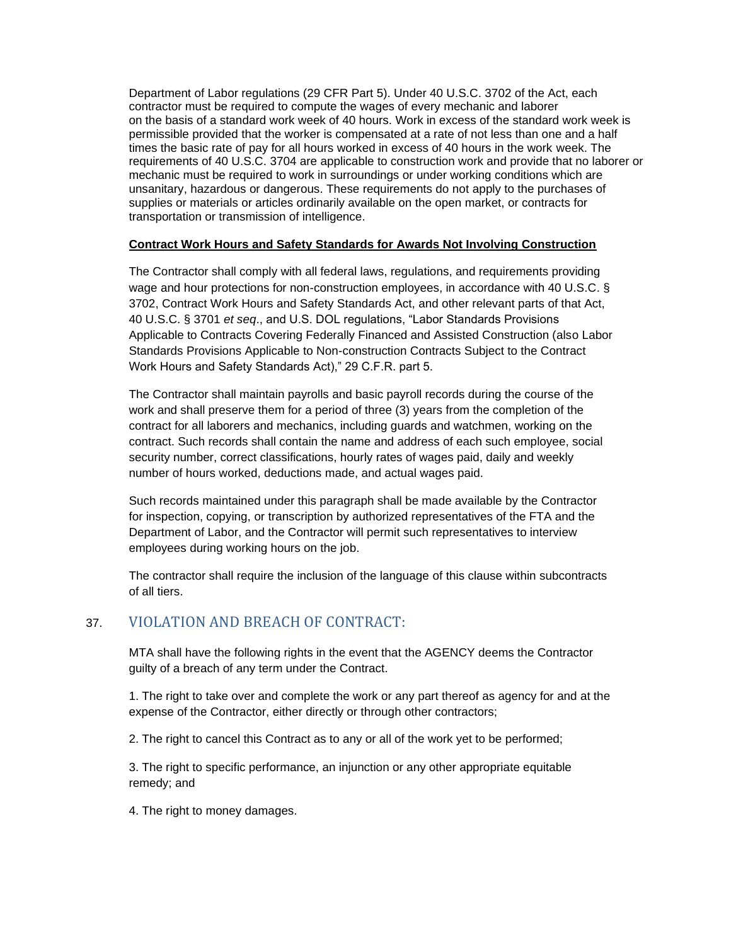Department of Labor regulations (29 CFR Part 5). Under 40 U.S.C. 3702 of the Act, each contractor must be required to compute the wages of every mechanic and laborer on the basis of a standard work week of 40 hours. Work in excess of the standard work week is permissible provided that the worker is compensated at a rate of not less than one and a half times the basic rate of pay for all hours worked in excess of 40 hours in the work week. The requirements of 40 U.S.C. 3704 are applicable to construction work and provide that no laborer or mechanic must be required to work in surroundings or under working conditions which are unsanitary, hazardous or dangerous. These requirements do not apply to the purchases of supplies or materials or articles ordinarily available on the open market, or contracts for transportation or transmission of intelligence.

#### **Contract Work Hours and Safety Standards for Awards Not Involving Construction**

The Contractor shall comply with all federal laws, regulations, and requirements providing wage and hour protections for non-construction employees, in accordance with 40 U.S.C. § 3702, Contract Work Hours and Safety Standards Act, and other relevant parts of that Act, 40 U.S.C. § 3701 *et seq*., and U.S. DOL regulations, "Labor Standards Provisions Applicable to Contracts Covering Federally Financed and Assisted Construction (also Labor Standards Provisions Applicable to Non-construction Contracts Subject to the Contract Work Hours and Safety Standards Act)," 29 C.F.R. part 5.

The Contractor shall maintain payrolls and basic payroll records during the course of the work and shall preserve them for a period of three (3) years from the completion of the contract for all laborers and mechanics, including guards and watchmen, working on the contract. Such records shall contain the name and address of each such employee, social security number, correct classifications, hourly rates of wages paid, daily and weekly number of hours worked, deductions made, and actual wages paid.

Such records maintained under this paragraph shall be made available by the Contractor for inspection, copying, or transcription by authorized representatives of the FTA and the Department of Labor, and the Contractor will permit such representatives to interview employees during working hours on the job.

The contractor shall require the inclusion of the language of this clause within subcontracts of all tiers.

### 37. VIOLATION AND BREACH OF CONTRACT:

MTA shall have the following rights in the event that the AGENCY deems the Contractor guilty of a breach of any term under the Contract.

1. The right to take over and complete the work or any part thereof as agency for and at the expense of the Contractor, either directly or through other contractors;

2. The right to cancel this Contract as to any or all of the work yet to be performed;

3. The right to specific performance, an injunction or any other appropriate equitable remedy; and

4. The right to money damages.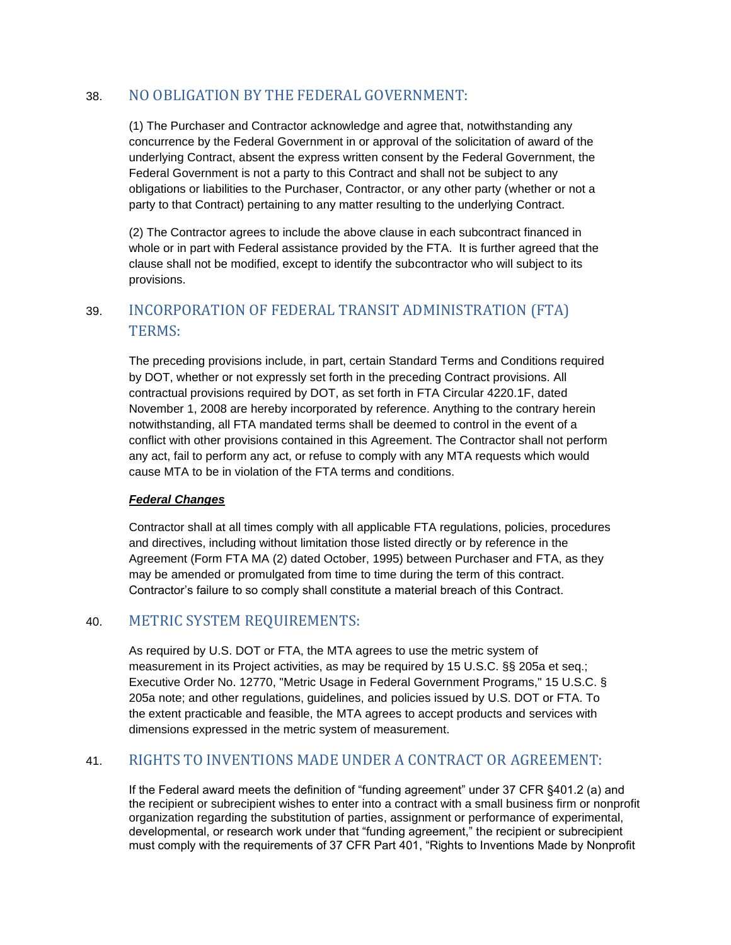# 38. NO OBLIGATION BY THE FEDERAL GOVERNMENT:

(1) The Purchaser and Contractor acknowledge and agree that, notwithstanding any concurrence by the Federal Government in or approval of the solicitation of award of the underlying Contract, absent the express written consent by the Federal Government, the Federal Government is not a party to this Contract and shall not be subject to any obligations or liabilities to the Purchaser, Contractor, or any other party (whether or not a party to that Contract) pertaining to any matter resulting to the underlying Contract.

(2) The Contractor agrees to include the above clause in each subcontract financed in whole or in part with Federal assistance provided by the FTA. It is further agreed that the clause shall not be modified, except to identify the subcontractor who will subject to its provisions.

# 39. INCORPORATION OF FEDERAL TRANSIT ADMINISTRATION (FTA) TERMS:

The preceding provisions include, in part, certain Standard Terms and Conditions required by DOT, whether or not expressly set forth in the preceding Contract provisions. All contractual provisions required by DOT, as set forth in FTA Circular 4220.1F, dated November 1, 2008 are hereby incorporated by reference. Anything to the contrary herein notwithstanding, all FTA mandated terms shall be deemed to control in the event of a conflict with other provisions contained in this Agreement. The Contractor shall not perform any act, fail to perform any act, or refuse to comply with any MTA requests which would cause MTA to be in violation of the FTA terms and conditions.

### *Federal Changes*

Contractor shall at all times comply with all applicable FTA regulations, policies, procedures and directives, including without limitation those listed directly or by reference in the Agreement (Form FTA MA (2) dated October, 1995) between Purchaser and FTA, as they may be amended or promulgated from time to time during the term of this contract. Contractor's failure to so comply shall constitute a material breach of this Contract.

### 40. METRIC SYSTEM REQUIREMENTS:

As required by U.S. DOT or FTA, the MTA agrees to use the metric system of measurement in its Project activities, as may be required by 15 U.S.C. §§ 205a et seq.; Executive Order No. 12770, "Metric Usage in Federal Government Programs," 15 U.S.C. § 205a note; and other regulations, guidelines, and policies issued by U.S. DOT or FTA. To the extent practicable and feasible, the MTA agrees to accept products and services with dimensions expressed in the metric system of measurement.

# 41. RIGHTS TO INVENTIONS MADE UNDER A CONTRACT OR AGREEMENT:

If the Federal award meets the definition of "funding agreement" under 37 CFR §401.2 (a) and the recipient or subrecipient wishes to enter into a contract with a small business firm or nonprofit organization regarding the substitution of parties, assignment or performance of experimental, developmental, or research work under that "funding agreement," the recipient or subrecipient must comply with the requirements of 37 CFR Part 401, "Rights to Inventions Made by Nonprofit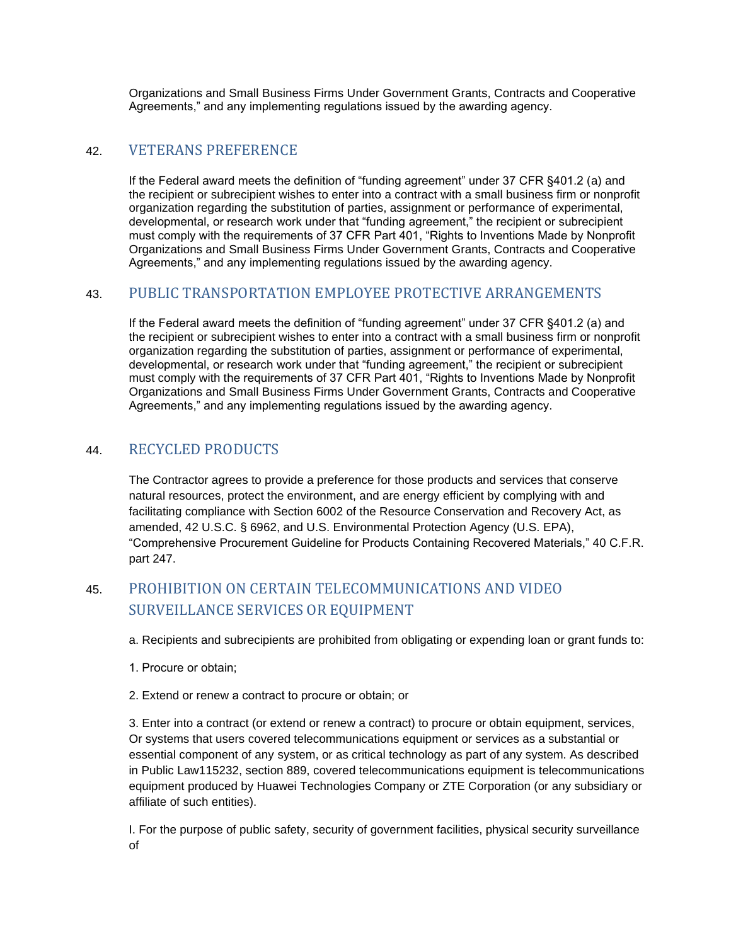Organizations and Small Business Firms Under Government Grants, Contracts and Cooperative Agreements," and any implementing regulations issued by the awarding agency.

### 42. VETERANS PREFERENCE

If the Federal award meets the definition of "funding agreement" under 37 CFR §401.2 (a) and the recipient or subrecipient wishes to enter into a contract with a small business firm or nonprofit organization regarding the substitution of parties, assignment or performance of experimental, developmental, or research work under that "funding agreement," the recipient or subrecipient must comply with the requirements of 37 CFR Part 401, "Rights to Inventions Made by Nonprofit Organizations and Small Business Firms Under Government Grants, Contracts and Cooperative Agreements," and any implementing regulations issued by the awarding agency.

### 43. PUBLIC TRANSPORTATION EMPLOYEE PROTECTIVE ARRANGEMENTS

If the Federal award meets the definition of "funding agreement" under 37 CFR §401.2 (a) and the recipient or subrecipient wishes to enter into a contract with a small business firm or nonprofit organization regarding the substitution of parties, assignment or performance of experimental, developmental, or research work under that "funding agreement," the recipient or subrecipient must comply with the requirements of 37 CFR Part 401, "Rights to Inventions Made by Nonprofit Organizations and Small Business Firms Under Government Grants, Contracts and Cooperative Agreements," and any implementing regulations issued by the awarding agency.

### 44. RECYCLED PRODUCTS

The Contractor agrees to provide a preference for those products and services that conserve natural resources, protect the environment, and are energy efficient by complying with and facilitating compliance with Section 6002 of the Resource Conservation and Recovery Act, as amended, 42 U.S.C. § 6962, and U.S. Environmental Protection Agency (U.S. EPA), "Comprehensive Procurement Guideline for Products Containing Recovered Materials," 40 C.F.R. part 247.

# 45. PROHIBITION ON CERTAIN TELECOMMUNICATIONS AND VIDEO SURVEILLANCE SERVICES OR EQUIPMENT

a. Recipients and subrecipients are prohibited from obligating or expending loan or grant funds to:

- 1. Procure or obtain;
- 2. Extend or renew a contract to procure or obtain; or

3. Enter into a contract (or extend or renew a contract) to procure or obtain equipment, services, Or systems that users covered telecommunications equipment or services as a substantial or essential component of any system, or as critical technology as part of any system. As described in Public Law115232, section 889, covered telecommunications equipment is telecommunications equipment produced by Huawei Technologies Company or ZTE Corporation (or any subsidiary or affiliate of such entities).

I. For the purpose of public safety, security of government facilities, physical security surveillance of